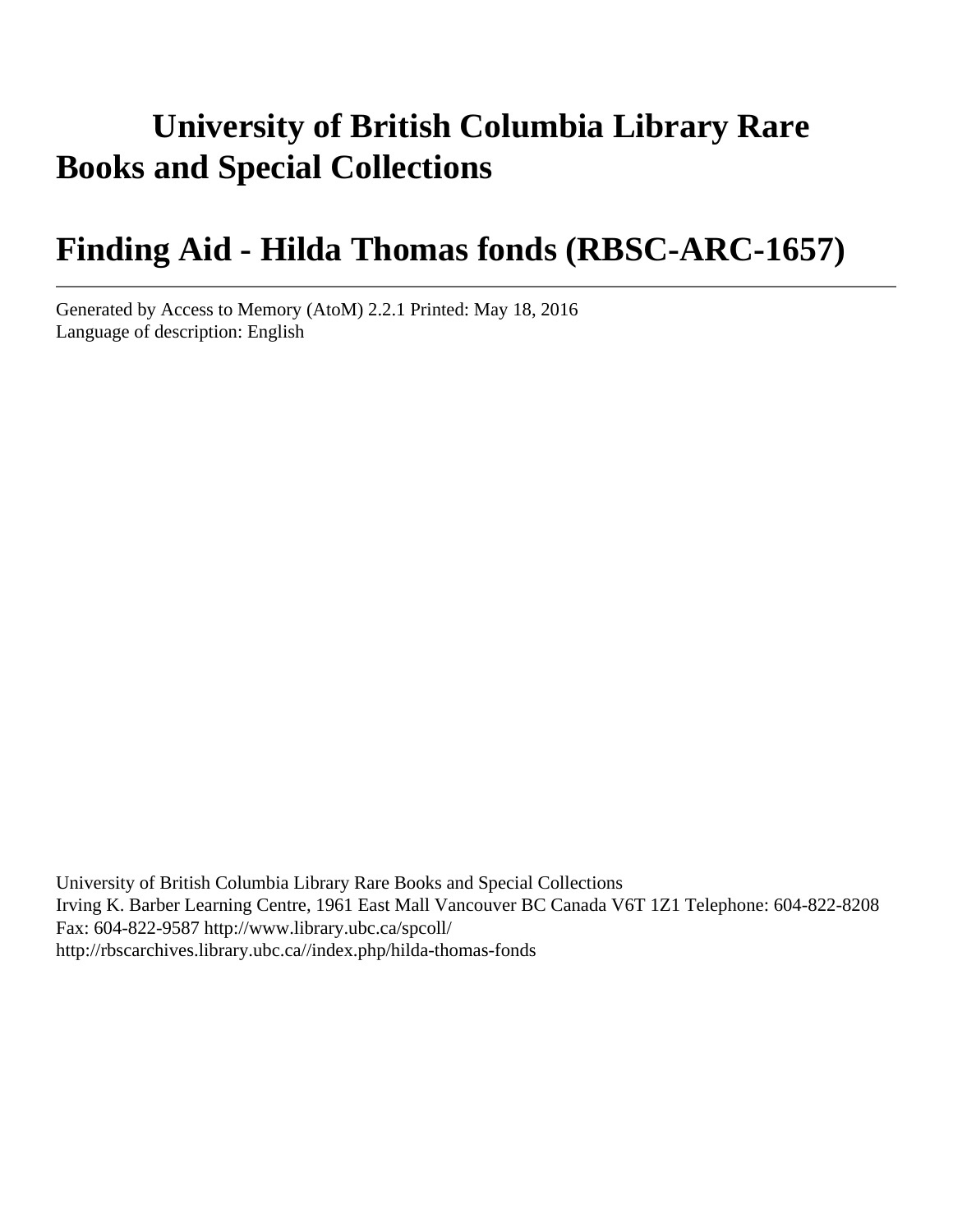# **University of British Columbia Library Rare Books and Special Collections**

# **Finding Aid - Hilda Thomas fonds (RBSC-ARC-1657)**

Generated by Access to Memory (AtoM) 2.2.1 Printed: May 18, 2016 Language of description: English

University of British Columbia Library Rare Books and Special Collections Irving K. Barber Learning Centre, 1961 East Mall Vancouver BC Canada V6T 1Z1 Telephone: 604-822-8208 Fax: 604-822-9587 http://www.library.ubc.ca/spcoll/ http://rbscarchives.library.ubc.ca//index.php/hilda-thomas-fonds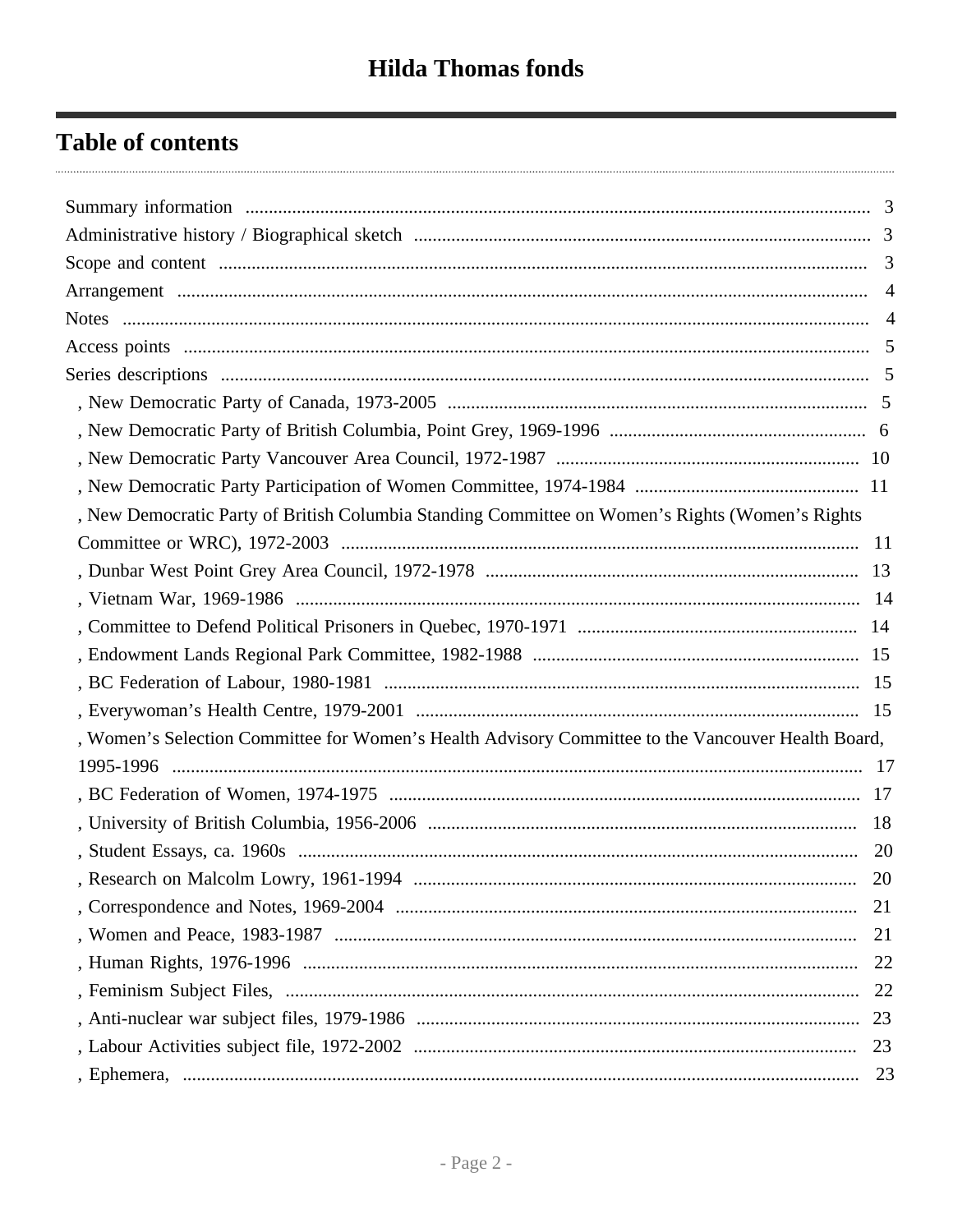# **Table of contents**

|                                                                                                    | $\overline{4}$ |
|----------------------------------------------------------------------------------------------------|----------------|
|                                                                                                    | $\overline{4}$ |
|                                                                                                    |                |
|                                                                                                    |                |
|                                                                                                    |                |
|                                                                                                    |                |
|                                                                                                    |                |
|                                                                                                    |                |
| , New Democratic Party of British Columbia Standing Committee on Women's Rights (Women's Rights    |                |
|                                                                                                    |                |
|                                                                                                    |                |
|                                                                                                    |                |
|                                                                                                    |                |
|                                                                                                    |                |
|                                                                                                    |                |
|                                                                                                    |                |
| , Women's Selection Committee for Women's Health Advisory Committee to the Vancouver Health Board, |                |
|                                                                                                    |                |
|                                                                                                    |                |
|                                                                                                    | -18            |
|                                                                                                    | <b>20</b>      |
|                                                                                                    |                |
|                                                                                                    |                |
|                                                                                                    | 21             |
|                                                                                                    | 22             |
|                                                                                                    |                |
|                                                                                                    |                |
|                                                                                                    | 23             |
|                                                                                                    | 23             |
|                                                                                                    |                |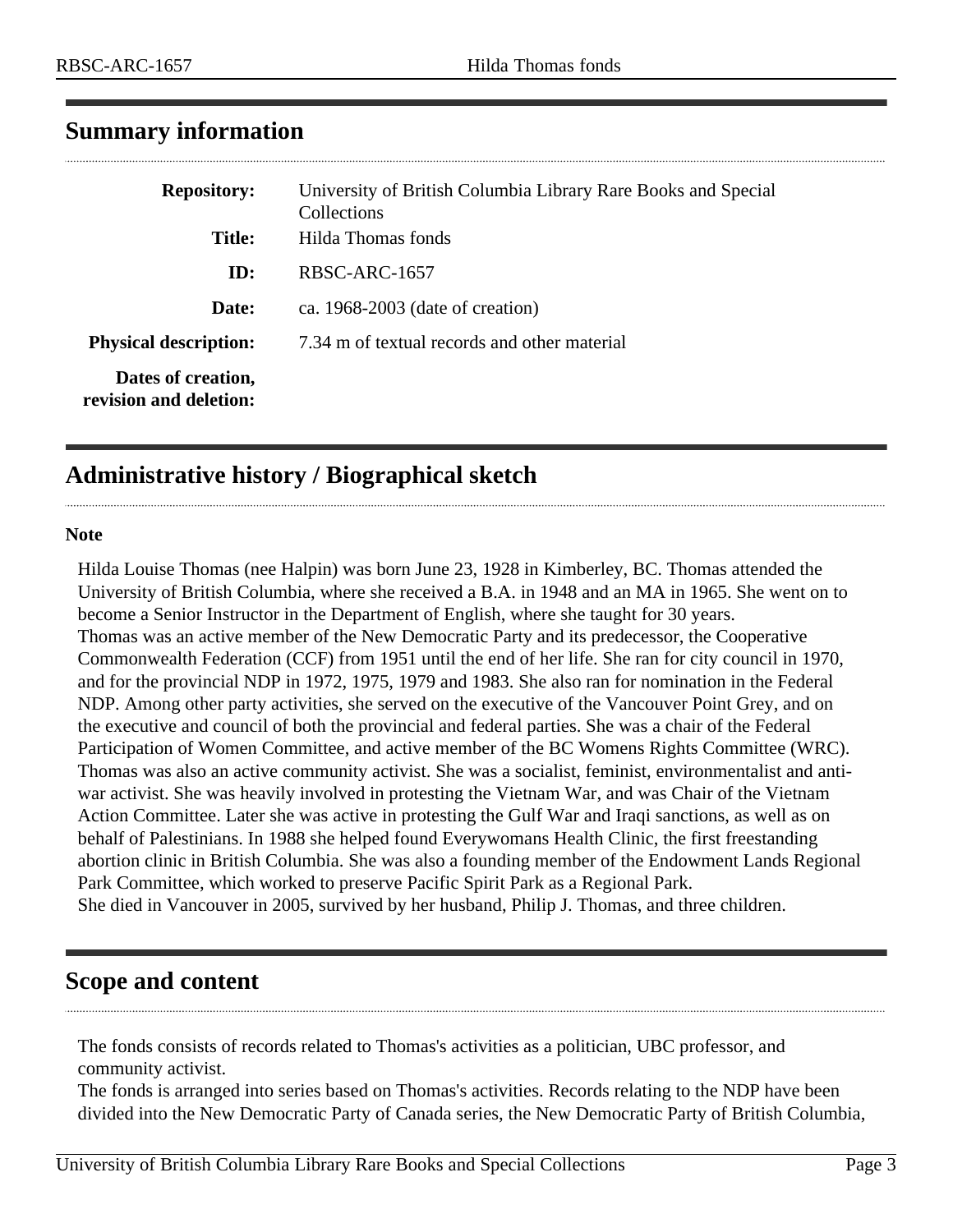| <b>Repository:</b>                           | University of British Columbia Library Rare Books and Special<br>Collections |
|----------------------------------------------|------------------------------------------------------------------------------|
| <b>Title:</b>                                | Hilda Thomas fonds                                                           |
| ID:                                          | RBSC-ARC-1657                                                                |
| Date:                                        | ca. $1968-2003$ (date of creation)                                           |
| <b>Physical description:</b>                 | 7.34 m of textual records and other material                                 |
| Dates of creation,<br>revision and deletion: |                                                                              |

## <span id="page-2-0"></span>**Summary information**

# <span id="page-2-1"></span>**Administrative history / Biographical sketch**

#### **Note**

Hilda Louise Thomas (nee Halpin) was born June 23, 1928 in Kimberley, BC. Thomas attended the University of British Columbia, where she received a B.A. in 1948 and an MA in 1965. She went on to become a Senior Instructor in the Department of English, where she taught for 30 years. Thomas was an active member of the New Democratic Party and its predecessor, the Cooperative Commonwealth Federation (CCF) from 1951 until the end of her life. She ran for city council in 1970, and for the provincial NDP in 1972, 1975, 1979 and 1983. She also ran for nomination in the Federal NDP. Among other party activities, she served on the executive of the Vancouver Point Grey, and on the executive and council of both the provincial and federal parties. She was a chair of the Federal Participation of Women Committee, and active member of the BC Womens Rights Committee (WRC). Thomas was also an active community activist. She was a socialist, feminist, environmentalist and antiwar activist. She was heavily involved in protesting the Vietnam War, and was Chair of the Vietnam Action Committee. Later she was active in protesting the Gulf War and Iraqi sanctions, as well as on behalf of Palestinians. In 1988 she helped found Everywomans Health Clinic, the first freestanding abortion clinic in British Columbia. She was also a founding member of the Endowment Lands Regional Park Committee, which worked to preserve Pacific Spirit Park as a Regional Park. She died in Vancouver in 2005, survived by her husband, Philip J. Thomas, and three children.

## <span id="page-2-2"></span>**Scope and content**

The fonds consists of records related to Thomas's activities as a politician, UBC professor, and community activist.

The fonds is arranged into series based on Thomas's activities. Records relating to the NDP have been divided into the New Democratic Party of Canada series, the New Democratic Party of British Columbia,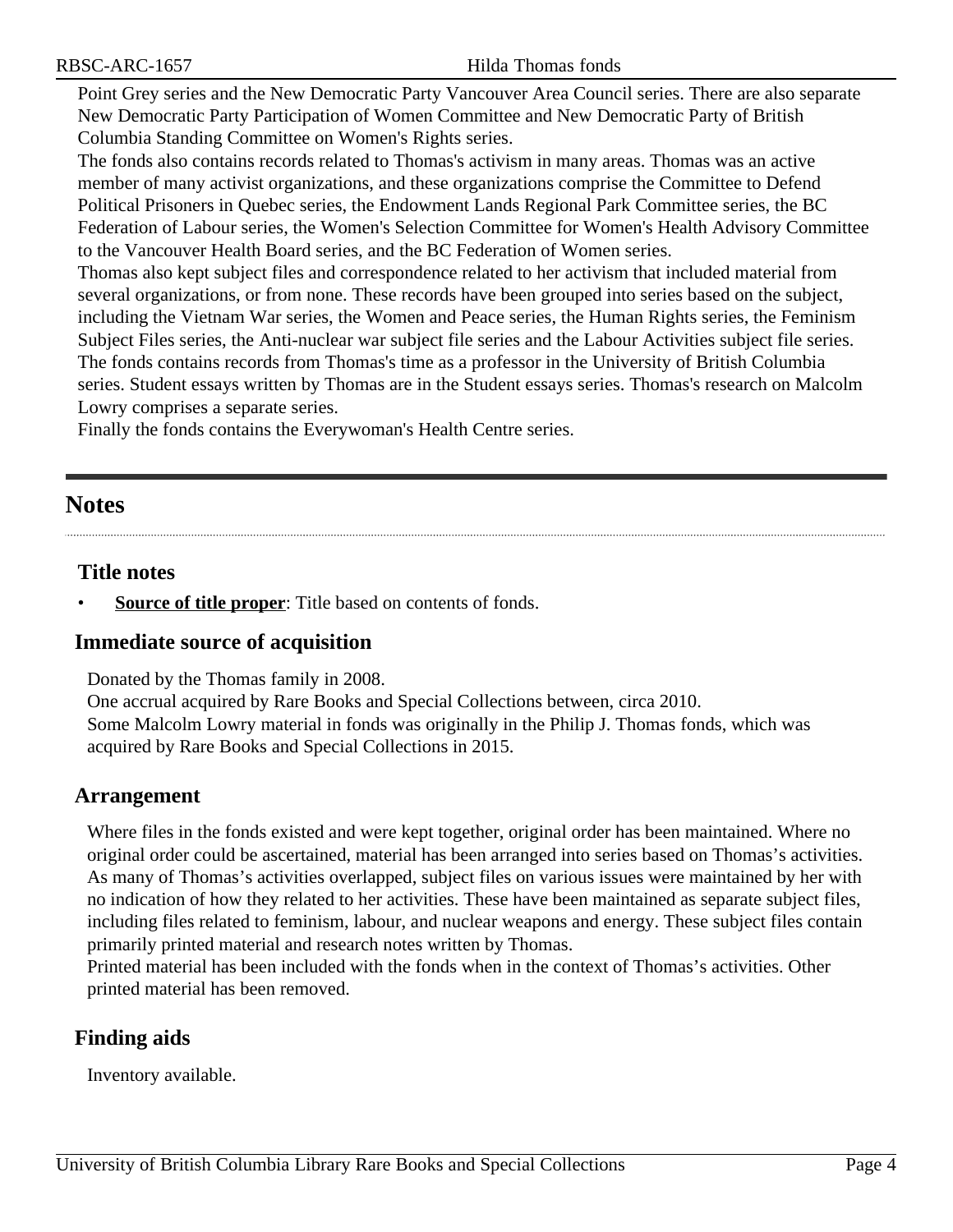Point Grey series and the New Democratic Party Vancouver Area Council series. There are also separate New Democratic Party Participation of Women Committee and New Democratic Party of British Columbia Standing Committee on Women's Rights series.

The fonds also contains records related to Thomas's activism in many areas. Thomas was an active member of many activist organizations, and these organizations comprise the Committee to Defend Political Prisoners in Quebec series, the Endowment Lands Regional Park Committee series, the BC Federation of Labour series, the Women's Selection Committee for Women's Health Advisory Committee to the Vancouver Health Board series, and the BC Federation of Women series.

Thomas also kept subject files and correspondence related to her activism that included material from several organizations, or from none. These records have been grouped into series based on the subject, including the Vietnam War series, the Women and Peace series, the Human Rights series, the Feminism Subject Files series, the Anti-nuclear war subject file series and the Labour Activities subject file series. The fonds contains records from Thomas's time as a professor in the University of British Columbia series. Student essays written by Thomas are in the Student essays series. Thomas's research on Malcolm Lowry comprises a separate series.

Finally the fonds contains the Everywoman's Health Centre series.

## <span id="page-3-1"></span>**Notes**

#### **Title notes**

**Source of title proper**: Title based on contents of fonds.

#### **Immediate source of acquisition**

Donated by the Thomas family in 2008.

One accrual acquired by Rare Books and Special Collections between, circa 2010. Some Malcolm Lowry material in fonds was originally in the Philip J. Thomas fonds, which was acquired by Rare Books and Special Collections in 2015.

#### <span id="page-3-0"></span>**Arrangement**

Where files in the fonds existed and were kept together, original order has been maintained. Where no original order could be ascertained, material has been arranged into series based on Thomas's activities. As many of Thomas's activities overlapped, subject files on various issues were maintained by her with no indication of how they related to her activities. These have been maintained as separate subject files, including files related to feminism, labour, and nuclear weapons and energy. These subject files contain primarily printed material and research notes written by Thomas.

Printed material has been included with the fonds when in the context of Thomas's activities. Other printed material has been removed.

## **Finding aids**

Inventory available.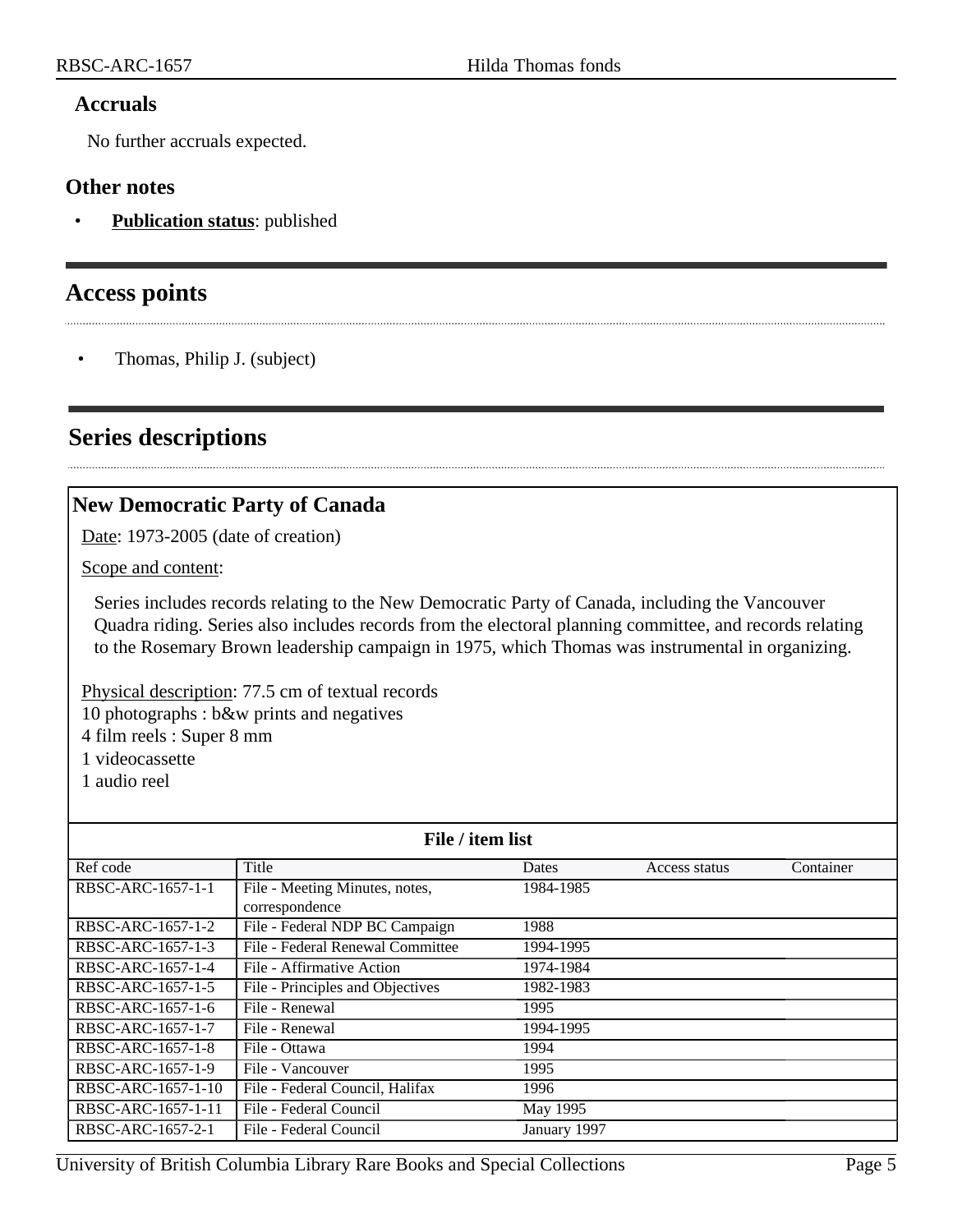#### **Accruals**

No further accruals expected.

#### **Other notes**

• **Publication status**: published

## <span id="page-4-0"></span>**Access points**

• Thomas, Philip J. (subject)

# <span id="page-4-1"></span>**Series descriptions**

## <span id="page-4-2"></span>**New Democratic Party of Canada**

Date: 1973-2005 (date of creation)

Scope and content:

Series includes records relating to the New Democratic Party of Canada, including the Vancouver Quadra riding. Series also includes records from the electoral planning committee, and records relating to the Rosemary Brown leadership campaign in 1975, which Thomas was instrumental in organizing.

Physical description: 77.5 cm of textual records 10 photographs : b&w prints and negatives 4 film reels : Super 8 mm 1 videocassette

1 audio reel

| File / item list   |                                  |              |               |           |
|--------------------|----------------------------------|--------------|---------------|-----------|
| Ref code           | Title                            | Dates        | Access status | Container |
| RBSC-ARC-1657-1-1  | File - Meeting Minutes, notes,   | 1984-1985    |               |           |
|                    | correspondence                   |              |               |           |
| RBSC-ARC-1657-1-2  | File - Federal NDP BC Campaign   | 1988         |               |           |
| RBSC-ARC-1657-1-3  | File - Federal Renewal Committee | 1994-1995    |               |           |
| RBSC-ARC-1657-1-4  | File - Affirmative Action        | 1974-1984    |               |           |
| RBSC-ARC-1657-1-5  | File - Principles and Objectives | 1982-1983    |               |           |
| RBSC-ARC-1657-1-6  | File - Renewal                   | 1995         |               |           |
| RBSC-ARC-1657-1-7  | File - Renewal                   | 1994-1995    |               |           |
| RBSC-ARC-1657-1-8  | File - Ottawa                    | 1994         |               |           |
| RBSC-ARC-1657-1-9  | File - Vancouver                 | 1995         |               |           |
| RBSC-ARC-1657-1-10 | File - Federal Council, Halifax  | 1996         |               |           |
| RBSC-ARC-1657-1-11 | File - Federal Council           | May 1995     |               |           |
| RBSC-ARC-1657-2-1  | File - Federal Council           | January 1997 |               |           |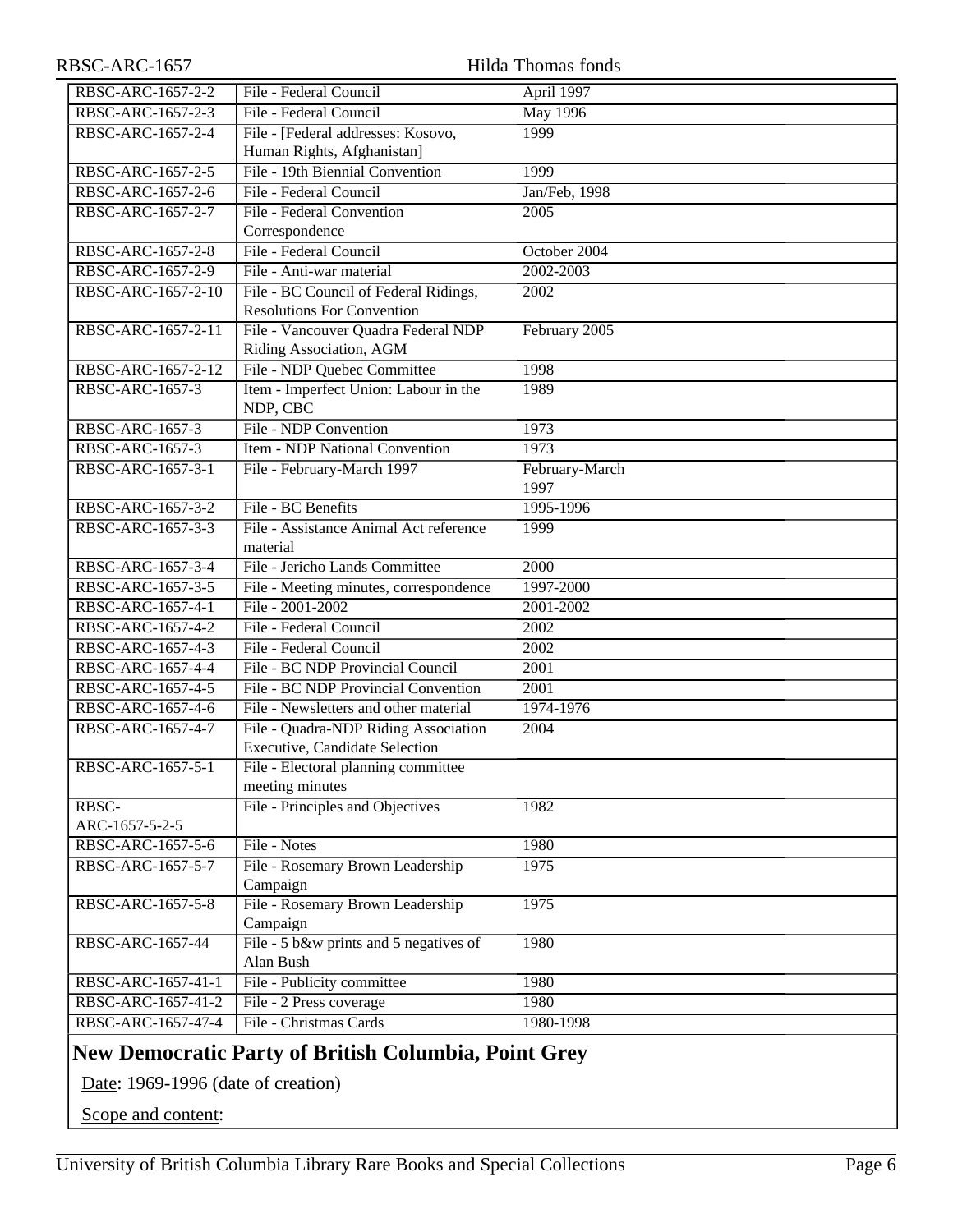<span id="page-5-0"></span>

| RBSC-ARC-1657                                                                                     |                                                    | Hilda Thomas fonds |
|---------------------------------------------------------------------------------------------------|----------------------------------------------------|--------------------|
| RBSC-ARC-1657-2-2                                                                                 | File - Federal Council                             | April 1997         |
| RBSC-ARC-1657-2-3                                                                                 | File - Federal Council                             | <b>May 1996</b>    |
| RBSC-ARC-1657-2-4                                                                                 | File - [Federal addresses: Kosovo,                 | 1999               |
|                                                                                                   | Human Rights, Afghanistan]                         |                    |
| RBSC-ARC-1657-2-5                                                                                 | File - 19th Biennial Convention                    | 1999               |
| RBSC-ARC-1657-2-6                                                                                 | File - Federal Council                             | Jan/Feb, 1998      |
| RBSC-ARC-1657-2-7                                                                                 | File - Federal Convention                          | 2005               |
|                                                                                                   | Correspondence                                     |                    |
| RBSC-ARC-1657-2-8                                                                                 | File - Federal Council                             | October 2004       |
| RBSC-ARC-1657-2-9                                                                                 | File - Anti-war material                           | 2002-2003          |
| RBSC-ARC-1657-2-10                                                                                | File - BC Council of Federal Ridings,              | $200\overline{2}$  |
|                                                                                                   | <b>Resolutions For Convention</b>                  |                    |
| RBSC-ARC-1657-2-11                                                                                | File - Vancouver Quadra Federal NDP                | February 2005      |
|                                                                                                   | Riding Association, AGM                            |                    |
| RBSC-ARC-1657-2-12                                                                                | File - NDP Quebec Committee                        | 1998               |
| <b>RBSC-ARC-1657-3</b>                                                                            | Item - Imperfect Union: Labour in the<br>NDP, CBC  | 1989               |
| RBSC-ARC-1657-3                                                                                   | File - NDP Convention                              | 1973               |
| <b>RBSC-ARC-1657-3</b>                                                                            | <b>Item - NDP National Convention</b>              | 1973               |
| RBSC-ARC-1657-3-1                                                                                 | File - February-March 1997                         | February-March     |
|                                                                                                   |                                                    | 1997               |
| RBSC-ARC-1657-3-2                                                                                 | File - BC Benefits                                 | 1995-1996          |
| RBSC-ARC-1657-3-3                                                                                 | File - Assistance Animal Act reference<br>material | 1999               |
| RBSC-ARC-1657-3-4                                                                                 | File - Jericho Lands Committee                     | 2000               |
| RBSC-ARC-1657-3-5                                                                                 | File - Meeting minutes, correspondence             | 1997-2000          |
| RBSC-ARC-1657-4-1                                                                                 | File - 2001-2002                                   | 2001-2002          |
| RBSC-ARC-1657-4-2                                                                                 | File - Federal Council                             | 2002               |
| RBSC-ARC-1657-4-3                                                                                 | File - Federal Council                             | 2002               |
| RBSC-ARC-1657-4-4                                                                                 | File - BC NDP Provincial Council                   | 2001               |
| RBSC-ARC-1657-4-5                                                                                 | File - BC NDP Provincial Convention                | 2001               |
| RBSC-ARC-1657-4-6                                                                                 | File - Newsletters and other material              | 1974-1976          |
| RBSC-ARC-1657-4-7                                                                                 | File - Quadra-NDP Riding Association               | 2004               |
|                                                                                                   | Executive, Candidate Selection                     |                    |
| RBSC-ARC-1657-5-1                                                                                 | File - Electoral planning committee                |                    |
|                                                                                                   | meeting minutes                                    |                    |
| RBSC-                                                                                             | File - Principles and Objectives                   | 1982               |
| ARC-1657-5-2-5                                                                                    |                                                    |                    |
| RBSC-ARC-1657-5-6                                                                                 | File - Notes                                       | 1980               |
| RBSC-ARC-1657-5-7                                                                                 | File - Rosemary Brown Leadership<br>Campaign       | 1975               |
| RBSC-ARC-1657-5-8                                                                                 | File - Rosemary Brown Leadership                   | 1975               |
|                                                                                                   | Campaign                                           |                    |
| RBSC-ARC-1657-44                                                                                  | File - 5 b&w prints and 5 negatives of             | 1980               |
|                                                                                                   | Alan Bush                                          |                    |
| RBSC-ARC-1657-41-1                                                                                | File - Publicity committee                         | 1980               |
| RBSC-ARC-1657-41-2                                                                                | File - 2 Press coverage                            | 1980               |
| RBSC-ARC-1657-47-4                                                                                | File - Christmas Cards                             | 1980-1998          |
|                                                                                                   |                                                    |                    |
| <b>New Democratic Party of British Columbia, Point Grey</b><br>Date: 1969-1996 (date of creation) |                                                    |                    |
|                                                                                                   |                                                    |                    |
| Scope and content:                                                                                |                                                    |                    |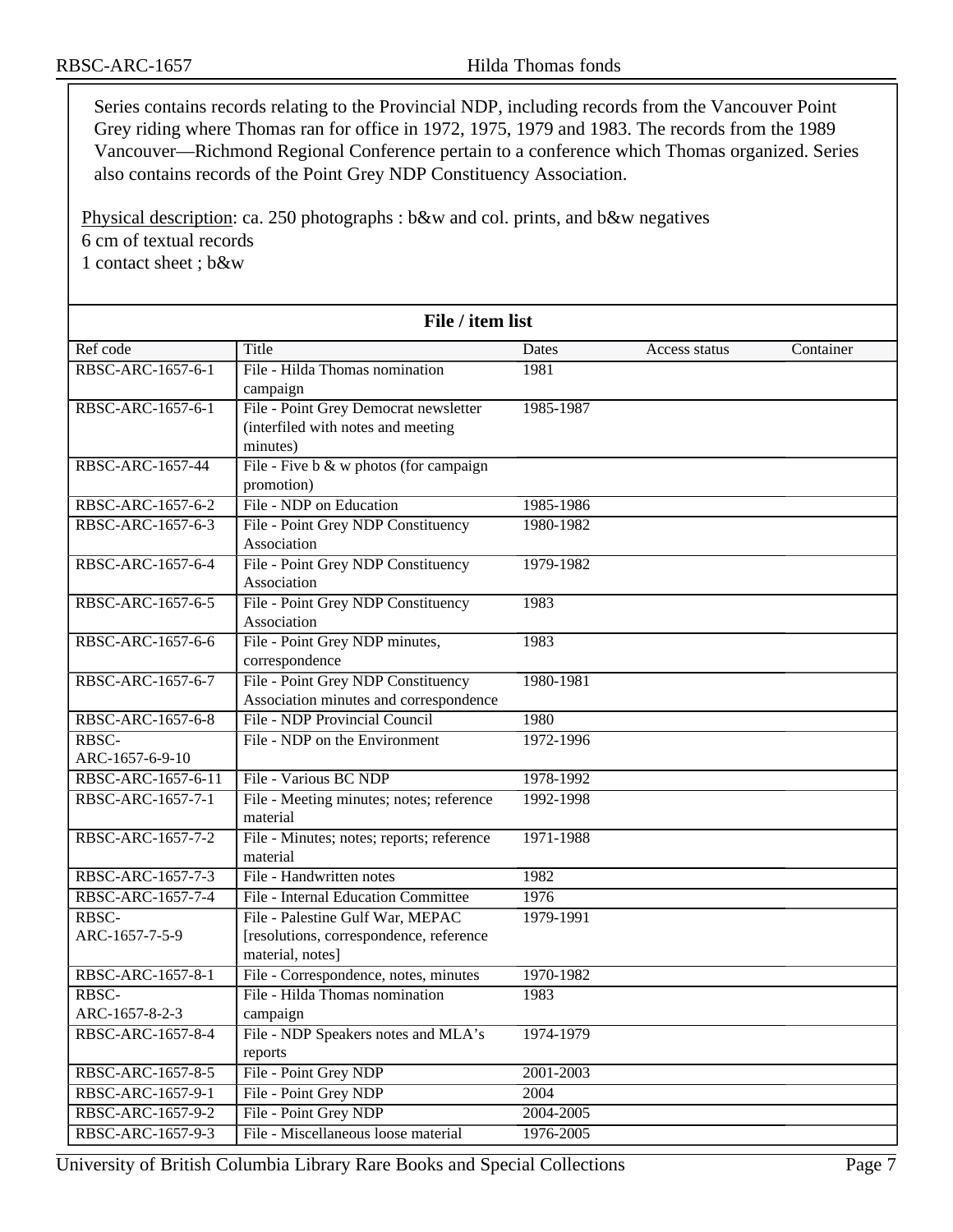Series contains records relating to the Provincial NDP, including records from the Vancouver Point Grey riding where Thomas ran for office in 1972, 1975, 1979 and 1983. The records from the 1989 Vancouver—Richmond Regional Conference pertain to a conference which Thomas organized. Series also contains records of the Point Grey NDP Constituency Association.

Physical description: ca. 250 photographs : b&w and col. prints, and b&w negatives 6 cm of textual records 1 contact sheet ; b&w

| File / item list   |                                           |           |               |           |
|--------------------|-------------------------------------------|-----------|---------------|-----------|
| Ref code           | Title                                     | Dates     | Access status | Container |
| RBSC-ARC-1657-6-1  | File - Hilda Thomas nomination            | 1981      |               |           |
|                    | campaign                                  |           |               |           |
| RBSC-ARC-1657-6-1  | File - Point Grey Democrat newsletter     | 1985-1987 |               |           |
|                    | (interfiled with notes and meeting        |           |               |           |
|                    | minutes)                                  |           |               |           |
| RBSC-ARC-1657-44   | File - Five b & w photos (for campaign    |           |               |           |
|                    | promotion)                                |           |               |           |
| RBSC-ARC-1657-6-2  | File - NDP on Education                   | 1985-1986 |               |           |
| RBSC-ARC-1657-6-3  | File - Point Grey NDP Constituency        | 1980-1982 |               |           |
|                    | Association                               |           |               |           |
| RBSC-ARC-1657-6-4  | File - Point Grey NDP Constituency        | 1979-1982 |               |           |
|                    | Association                               |           |               |           |
| RBSC-ARC-1657-6-5  | File - Point Grey NDP Constituency        | 1983      |               |           |
|                    | Association                               |           |               |           |
| RBSC-ARC-1657-6-6  | File - Point Grey NDP minutes,            | 1983      |               |           |
|                    | correspondence                            |           |               |           |
| RBSC-ARC-1657-6-7  | File - Point Grey NDP Constituency        | 1980-1981 |               |           |
|                    | Association minutes and correspondence    |           |               |           |
| RBSC-ARC-1657-6-8  | File - NDP Provincial Council             | 1980      |               |           |
| RBSC-              | File - NDP on the Environment             | 1972-1996 |               |           |
| ARC-1657-6-9-10    |                                           |           |               |           |
| RBSC-ARC-1657-6-11 | File - Various BC NDP                     | 1978-1992 |               |           |
| RBSC-ARC-1657-7-1  | File - Meeting minutes; notes; reference  | 1992-1998 |               |           |
|                    | material                                  |           |               |           |
| RBSC-ARC-1657-7-2  | File - Minutes; notes; reports; reference | 1971-1988 |               |           |
|                    | material                                  |           |               |           |
| RBSC-ARC-1657-7-3  | File - Handwritten notes                  | 1982      |               |           |
| RBSC-ARC-1657-7-4  | File - Internal Education Committee       | 1976      |               |           |
| RBSC-              | File - Palestine Gulf War, MEPAC          | 1979-1991 |               |           |
| ARC-1657-7-5-9     | [resolutions, correspondence, reference   |           |               |           |
|                    | material, notes]                          |           |               |           |
| RBSC-ARC-1657-8-1  | File - Correspondence, notes, minutes     | 1970-1982 |               |           |
| RBSC-              | File - Hilda Thomas nomination            | 1983      |               |           |
| ARC-1657-8-2-3     | campaign                                  |           |               |           |
| RBSC-ARC-1657-8-4  | File - NDP Speakers notes and MLA's       | 1974-1979 |               |           |
|                    | reports                                   |           |               |           |
| RBSC-ARC-1657-8-5  | File - Point Grey NDP                     | 2001-2003 |               |           |
| RBSC-ARC-1657-9-1  | File - Point Grey NDP                     | 2004      |               |           |
| RBSC-ARC-1657-9-2  | File - Point Grey NDP                     | 2004-2005 |               |           |
| RBSC-ARC-1657-9-3  | File - Miscellaneous loose material       | 1976-2005 |               |           |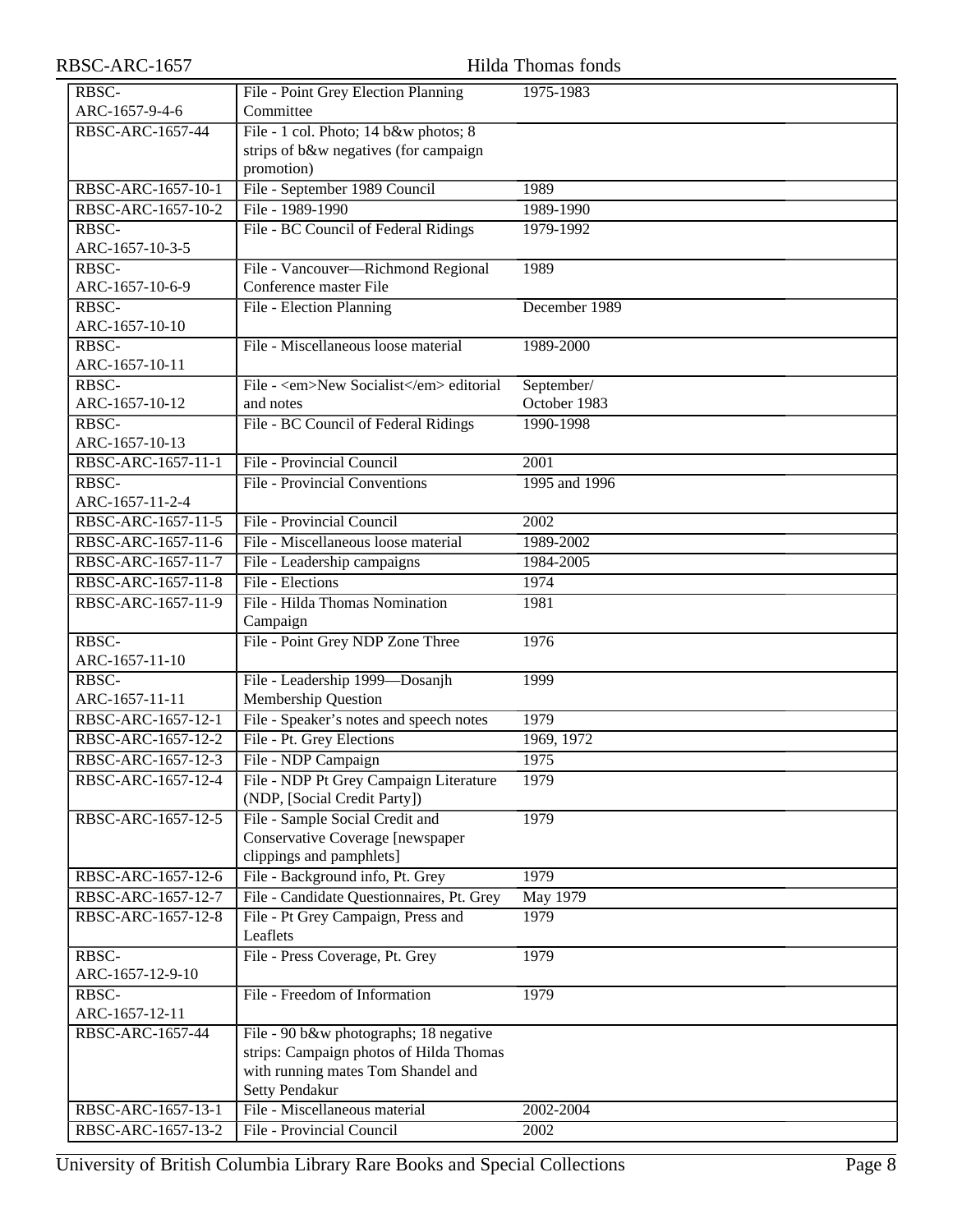| RBSC-ARC-1657            |                                                              | Hilda Thomas fonds |
|--------------------------|--------------------------------------------------------------|--------------------|
| RBSC-                    | File - Point Grey Election Planning                          | 1975-1983          |
| ARC-1657-9-4-6           | Committee                                                    |                    |
| RBSC-ARC-1657-44         | File - 1 col. Photo; 14 b&w photos; 8                        |                    |
|                          | strips of b&w negatives (for campaign                        |                    |
|                          | promotion)                                                   |                    |
| RBSC-ARC-1657-10-1       | File - September 1989 Council                                | 1989               |
| RBSC-ARC-1657-10-2       | File - 1989-1990                                             | 1989-1990          |
| RBSC-                    | File - BC Council of Federal Ridings                         | 1979-1992          |
| ARC-1657-10-3-5          |                                                              |                    |
| RBSC-<br>ARC-1657-10-6-9 | File - Vancouver-Richmond Regional<br>Conference master File | 1989               |
| RBSC-                    |                                                              | December 1989      |
| ARC-1657-10-10           | File - Election Planning                                     |                    |
| RBSC-                    | File - Miscellaneous loose material                          | 1989-2000          |
| ARC-1657-10-11           |                                                              |                    |
| RBSC-                    | File - <em>New Socialist</em> editorial                      | September/         |
| ARC-1657-10-12           | and notes                                                    | October 1983       |
| RBSC-                    | File - BC Council of Federal Ridings                         | 1990-1998          |
| ARC-1657-10-13           |                                                              |                    |
| RBSC-ARC-1657-11-1       | File - Provincial Council                                    | $\overline{200}1$  |
| RBSC-                    | <b>File - Provincial Conventions</b>                         | 1995 and 1996      |
| ARC-1657-11-2-4          |                                                              |                    |
| RBSC-ARC-1657-11-5       | File - Provincial Council                                    | 2002               |
| RBSC-ARC-1657-11-6       | File - Miscellaneous loose material                          | 1989-2002          |
| RBSC-ARC-1657-11-7       | File - Leadership campaigns                                  | 1984-2005          |
| RBSC-ARC-1657-11-8       | File - Elections                                             | 1974               |
| RBSC-ARC-1657-11-9       | File - Hilda Thomas Nomination                               | 1981               |
|                          | Campaign                                                     |                    |
| RBSC-                    | File - Point Grey NDP Zone Three                             | 1976               |
| ARC-1657-11-10           |                                                              |                    |
| RBSC-                    | File - Leadership 1999—Dosanjh                               | 1999               |
| ARC-1657-11-11           | Membership Question                                          |                    |
| RBSC-ARC-1657-12-1       | File - Speaker's notes and speech notes                      | 1979               |
| RBSC-ARC-1657-12-2       | File - Pt. Grey Elections                                    | 1969, 1972         |
| RBSC-ARC-1657-12-3       | File - NDP Campaign                                          | 1975               |
| RBSC-ARC-1657-12-4       | File - NDP Pt Grey Campaign Literature                       | 1979               |
|                          | (NDP, [Social Credit Party])                                 |                    |
| RBSC-ARC-1657-12-5       | File - Sample Social Credit and                              | 1979               |
|                          | Conservative Coverage [newspaper                             |                    |
|                          | clippings and pamphlets]                                     |                    |
| RBSC-ARC-1657-12-6       | File - Background info, Pt. Grey                             | 1979               |
| RBSC-ARC-1657-12-7       | File - Candidate Questionnaires, Pt. Grey                    | May 1979           |
| RBSC-ARC-1657-12-8       | File - Pt Grey Campaign, Press and                           | 1979               |
|                          | Leaflets                                                     |                    |
| RBSC-                    | File - Press Coverage, Pt. Grey                              | 1979               |
| ARC-1657-12-9-10         |                                                              |                    |
| RBSC-                    | File - Freedom of Information                                | 1979               |
| ARC-1657-12-11           |                                                              |                    |
| RBSC-ARC-1657-44         | File - 90 b&w photographs; 18 negative                       |                    |
|                          | strips: Campaign photos of Hilda Thomas                      |                    |
|                          | with running mates Tom Shandel and                           |                    |
|                          | Setty Pendakur                                               |                    |
| RBSC-ARC-1657-13-1       | File - Miscellaneous material                                | 2002-2004          |
| RBSC-ARC-1657-13-2       | File - Provincial Council                                    | 2002               |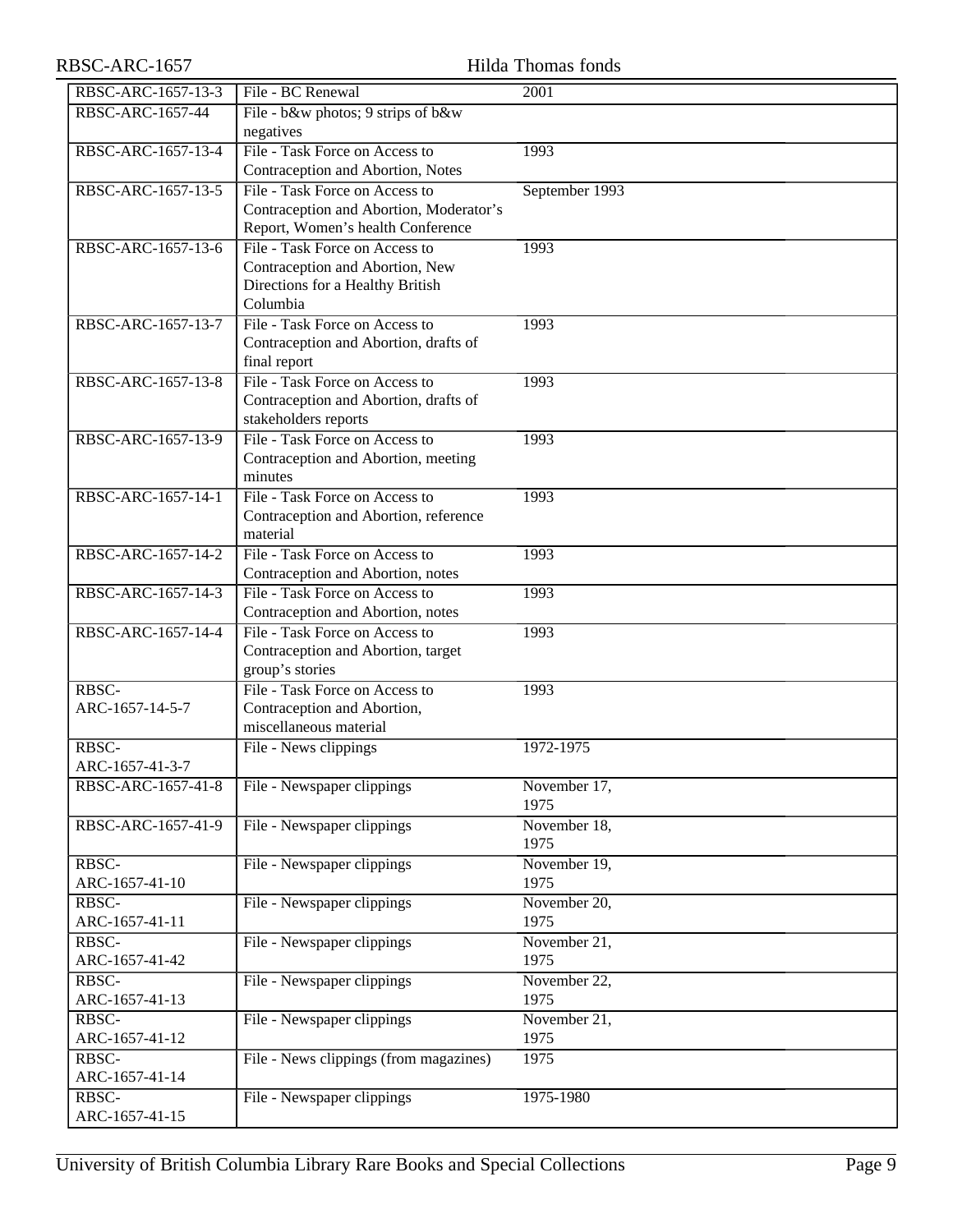# RBSC-ARC-1657 Hilda Thomas fonds

| RBSC-ARC-1657-13-3 | File - BC Renewal                                                   | 2001           |
|--------------------|---------------------------------------------------------------------|----------------|
| RBSC-ARC-1657-44   | File - b&w photos; 9 strips of b&w                                  |                |
|                    | negatives                                                           |                |
| RBSC-ARC-1657-13-4 | File - Task Force on Access to                                      | 1993           |
|                    | Contraception and Abortion, Notes                                   |                |
| RBSC-ARC-1657-13-5 | File - Task Force on Access to                                      | September 1993 |
|                    | Contraception and Abortion, Moderator's                             |                |
|                    | Report, Women's health Conference                                   |                |
| RBSC-ARC-1657-13-6 | File - Task Force on Access to                                      | 1993           |
|                    | Contraception and Abortion, New                                     |                |
|                    | Directions for a Healthy British                                    |                |
|                    | Columbia                                                            |                |
| RBSC-ARC-1657-13-7 | File - Task Force on Access to                                      | 1993           |
|                    | Contraception and Abortion, drafts of                               |                |
|                    | final report                                                        |                |
| RBSC-ARC-1657-13-8 | File - Task Force on Access to                                      | 1993           |
|                    | Contraception and Abortion, drafts of                               |                |
|                    | stakeholders reports                                                |                |
| RBSC-ARC-1657-13-9 | File - Task Force on Access to                                      | 1993           |
|                    | Contraception and Abortion, meeting                                 |                |
|                    | minutes                                                             |                |
| RBSC-ARC-1657-14-1 | File - Task Force on Access to                                      | 1993           |
|                    | Contraception and Abortion, reference                               |                |
|                    | material                                                            |                |
| RBSC-ARC-1657-14-2 | File - Task Force on Access to                                      | 1993           |
|                    | Contraception and Abortion, notes                                   |                |
| RBSC-ARC-1657-14-3 | File - Task Force on Access to                                      | 1993           |
|                    | Contraception and Abortion, notes<br>File - Task Force on Access to |                |
| RBSC-ARC-1657-14-4 |                                                                     | 1993           |
|                    | Contraception and Abortion, target<br>group's stories               |                |
| RBSC-              | File - Task Force on Access to                                      | 1993           |
| ARC-1657-14-5-7    | Contraception and Abortion,                                         |                |
|                    | miscellaneous material                                              |                |
| RBSC-              | File - News clippings                                               | 1972-1975      |
| ARC-1657-41-3-7    |                                                                     |                |
| RBSC-ARC-1657-41-8 | File - Newspaper clippings                                          | November 17,   |
|                    |                                                                     | 1975           |
| RBSC-ARC-1657-41-9 | File - Newspaper clippings                                          | November 18,   |
|                    |                                                                     | 1975           |
| RBSC-              | File - Newspaper clippings                                          | November 19,   |
| ARC-1657-41-10     |                                                                     | 1975           |
| RBSC-              | File - Newspaper clippings                                          | November 20,   |
| ARC-1657-41-11     |                                                                     | 1975           |
| RBSC-              | File - Newspaper clippings                                          | November 21,   |
| ARC-1657-41-42     |                                                                     | 1975           |
| RBSC-              | File - Newspaper clippings                                          | November 22,   |
| ARC-1657-41-13     |                                                                     | 1975           |
| RBSC-              | File - Newspaper clippings                                          | November 21,   |
| ARC-1657-41-12     |                                                                     | 1975           |
| RBSC-              | File - News clippings (from magazines)                              | 1975           |
| ARC-1657-41-14     |                                                                     |                |
| RBSC-              | File - Newspaper clippings                                          | 1975-1980      |
| ARC-1657-41-15     |                                                                     |                |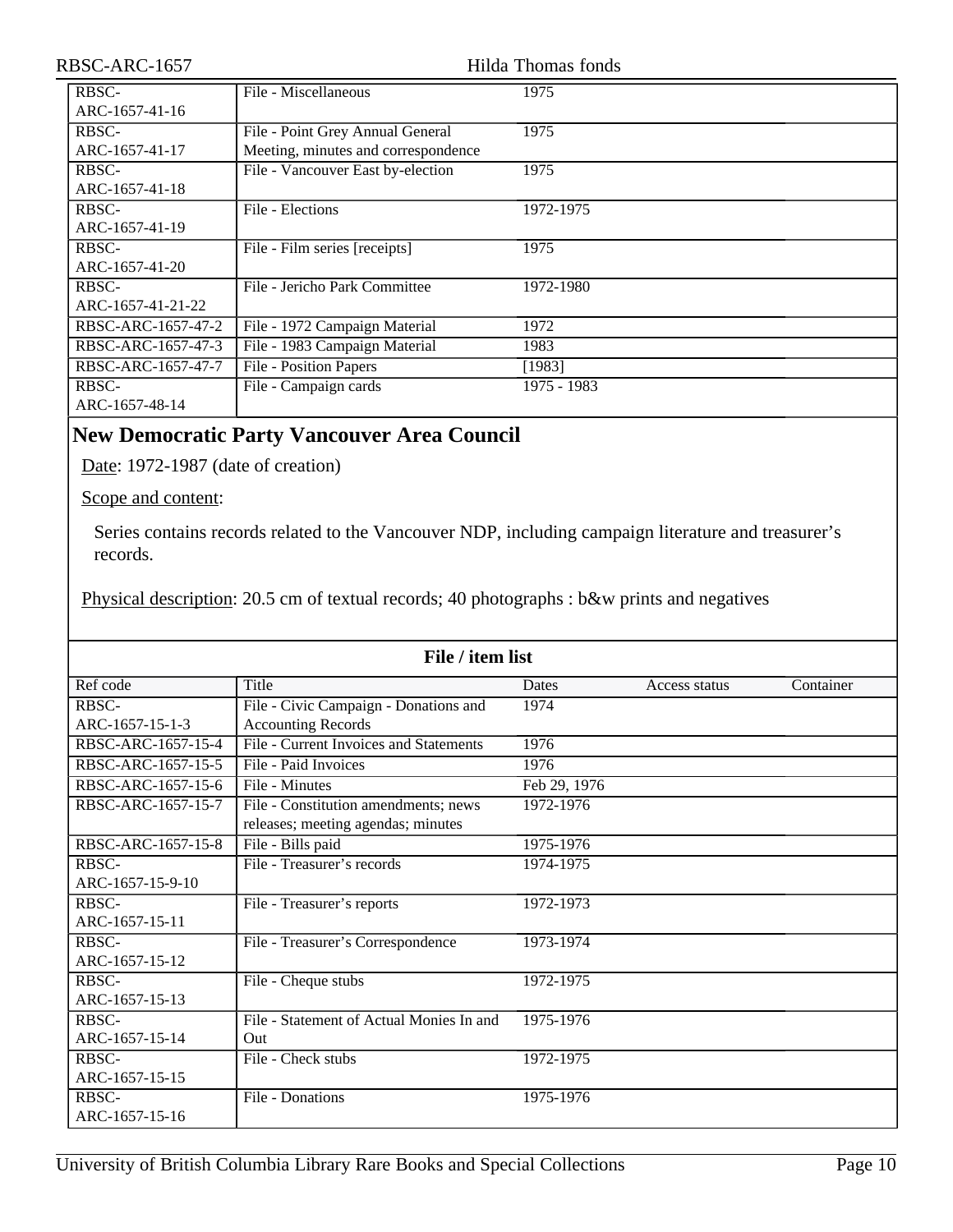| RBSC-ARC-1657      |                                     | Hilda Thomas fonds |
|--------------------|-------------------------------------|--------------------|
| RBSC-              | File - Miscellaneous                | 1975               |
| ARC-1657-41-16     |                                     |                    |
| RBSC-              | File - Point Grey Annual General    | 1975               |
| ARC-1657-41-17     | Meeting, minutes and correspondence |                    |
| RBSC-              | File - Vancouver East by-election   | 1975               |
| ARC-1657-41-18     |                                     |                    |
| RBSC-              | File - Elections                    | 1972-1975          |
| ARC-1657-41-19     |                                     |                    |
| RBSC-              | File - Film series [receipts]       | 1975               |
| ARC-1657-41-20     |                                     |                    |
| RBSC-              | File - Jericho Park Committee       | 1972-1980          |
| ARC-1657-41-21-22  |                                     |                    |
| RBSC-ARC-1657-47-2 | File - 1972 Campaign Material       | 1972               |
| RBSC-ARC-1657-47-3 | File - 1983 Campaign Material       | 1983               |
| RBSC-ARC-1657-47-7 | File - Position Papers              | [1983]             |
| RBSC-              | File - Campaign cards               | 1975 - 1983        |
| ARC-1657-48-14     |                                     |                    |

## <span id="page-9-0"></span>**New Democratic Party Vancouver Area Council**

Date: 1972-1987 (date of creation)

Scope and content:

Series contains records related to the Vancouver NDP, including campaign literature and treasurer's records.

Physical description: 20.5 cm of textual records; 40 photographs : b&w prints and negatives

| File / item list   |                                                                            |              |               |           |
|--------------------|----------------------------------------------------------------------------|--------------|---------------|-----------|
| Ref code           | Title                                                                      | <b>Dates</b> | Access status | Container |
| RBSC-              | File - Civic Campaign - Donations and                                      | 1974         |               |           |
| ARC-1657-15-1-3    | <b>Accounting Records</b>                                                  |              |               |           |
| RBSC-ARC-1657-15-4 | File - Current Invoices and Statements                                     | 1976         |               |           |
| RBSC-ARC-1657-15-5 | File - Paid Invoices                                                       | 1976         |               |           |
| RBSC-ARC-1657-15-6 | File - Minutes                                                             | Feb 29, 1976 |               |           |
| RBSC-ARC-1657-15-7 | File - Constitution amendments; news<br>releases; meeting agendas; minutes | 1972-1976    |               |           |
| RBSC-ARC-1657-15-8 | File - Bills paid                                                          | 1975-1976    |               |           |
| RBSC-              | File - Treasurer's records                                                 | 1974-1975    |               |           |
| ARC-1657-15-9-10   |                                                                            |              |               |           |
| RBSC-              | File - Treasurer's reports                                                 | 1972-1973    |               |           |
| ARC-1657-15-11     |                                                                            |              |               |           |
| RBSC-              | File - Treasurer's Correspondence                                          | 1973-1974    |               |           |
| ARC-1657-15-12     |                                                                            |              |               |           |
| RBSC-              | File - Cheque stubs                                                        | 1972-1975    |               |           |
| ARC-1657-15-13     |                                                                            |              |               |           |
| RBSC-              | File - Statement of Actual Monies In and                                   | 1975-1976    |               |           |
| ARC-1657-15-14     | Out                                                                        |              |               |           |
| $RBSC-$            | File - Check stubs                                                         | 1972-1975    |               |           |
| ARC-1657-15-15     |                                                                            |              |               |           |
| RBSC-              | File - Donations                                                           | 1975-1976    |               |           |
| ARC-1657-15-16     |                                                                            |              |               |           |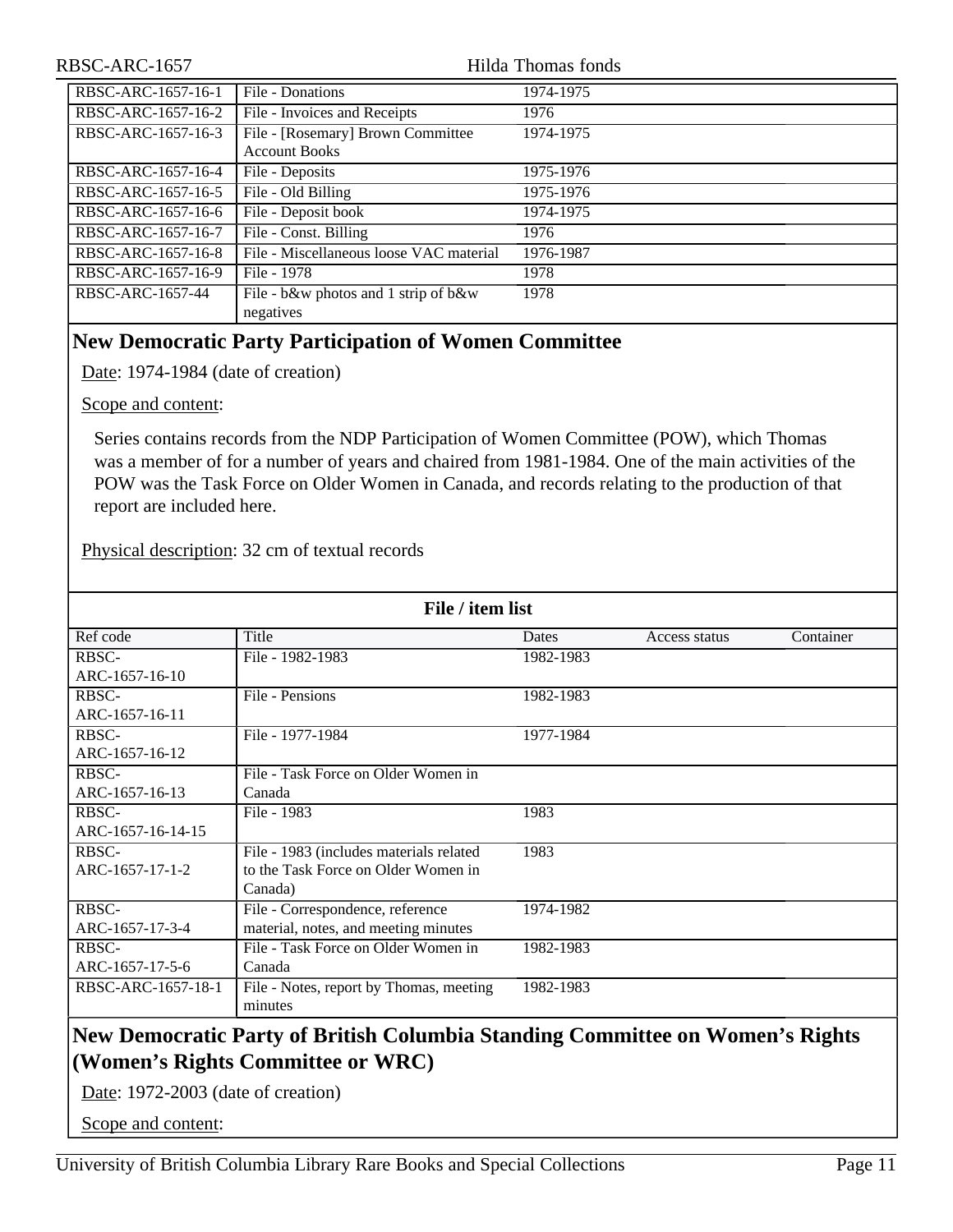| RBSC-ARC-1657      |                                         | Hilda Thomas fonds |
|--------------------|-----------------------------------------|--------------------|
| RBSC-ARC-1657-16-1 | File - Donations                        | 1974-1975          |
| RBSC-ARC-1657-16-2 | File - Invoices and Receipts            | 1976               |
| RBSC-ARC-1657-16-3 | File - [Rosemary] Brown Committee       | 1974-1975          |
|                    | <b>Account Books</b>                    |                    |
| RBSC-ARC-1657-16-4 | File - Deposits                         | 1975-1976          |
| RBSC-ARC-1657-16-5 | File - Old Billing                      | 1975-1976          |
| RBSC-ARC-1657-16-6 | File - Deposit book                     | 1974-1975          |
| RBSC-ARC-1657-16-7 | File - Const. Billing                   | 1976               |
| RBSC-ARC-1657-16-8 | File - Miscellaneous loose VAC material | 1976-1987          |
| RBSC-ARC-1657-16-9 | File - 1978                             | 1978               |
| RBSC-ARC-1657-44   | File - b&w photos and 1 strip of b&w    | 1978               |
|                    | negatives                               |                    |

## <span id="page-10-0"></span>**New Democratic Party Participation of Women Committee**

Date: 1974-1984 (date of creation)

Scope and content:

Series contains records from the NDP Participation of Women Committee (POW), which Thomas was a member of for a number of years and chaired from 1981-1984. One of the main activities of the POW was the Task Force on Older Women in Canada, and records relating to the production of that report are included here.

Physical description: 32 cm of textual records

| File / item list                                                              |                                         |           |               |           |
|-------------------------------------------------------------------------------|-----------------------------------------|-----------|---------------|-----------|
| Ref code                                                                      | Title                                   | Dates     | Access status | Container |
| RBSC-                                                                         | File - 1982-1983                        | 1982-1983 |               |           |
| ARC-1657-16-10                                                                |                                         |           |               |           |
| RBSC-                                                                         | File - Pensions                         | 1982-1983 |               |           |
| ARC-1657-16-11                                                                |                                         |           |               |           |
| RBSC-                                                                         | File - 1977-1984                        | 1977-1984 |               |           |
| ARC-1657-16-12                                                                |                                         |           |               |           |
| RBSC-                                                                         | File - Task Force on Older Women in     |           |               |           |
| ARC-1657-16-13                                                                | Canada                                  |           |               |           |
| RBSC-                                                                         | File - 1983                             | 1983      |               |           |
| ARC-1657-16-14-15                                                             |                                         |           |               |           |
| RBSC-                                                                         | File - 1983 (includes materials related | 1983      |               |           |
| ARC-1657-17-1-2                                                               | to the Task Force on Older Women in     |           |               |           |
|                                                                               | Canada)                                 |           |               |           |
| RBSC-                                                                         | File - Correspondence, reference        | 1974-1982 |               |           |
| ARC-1657-17-3-4                                                               | material, notes, and meeting minutes    |           |               |           |
| RBSC-                                                                         | File - Task Force on Older Women in     | 1982-1983 |               |           |
| ARC-1657-17-5-6                                                               | Canada                                  |           |               |           |
| RBSC-ARC-1657-18-1                                                            | File - Notes, report by Thomas, meeting | 1982-1983 |               |           |
|                                                                               | minutes                                 |           |               |           |
| New Democratic Party of British Columbia Standing Committee on Women's Rights |                                         |           |               |           |

## <span id="page-10-1"></span>**(Women's Rights Committee or WRC)**

Date: 1972-2003 (date of creation)

Scope and content: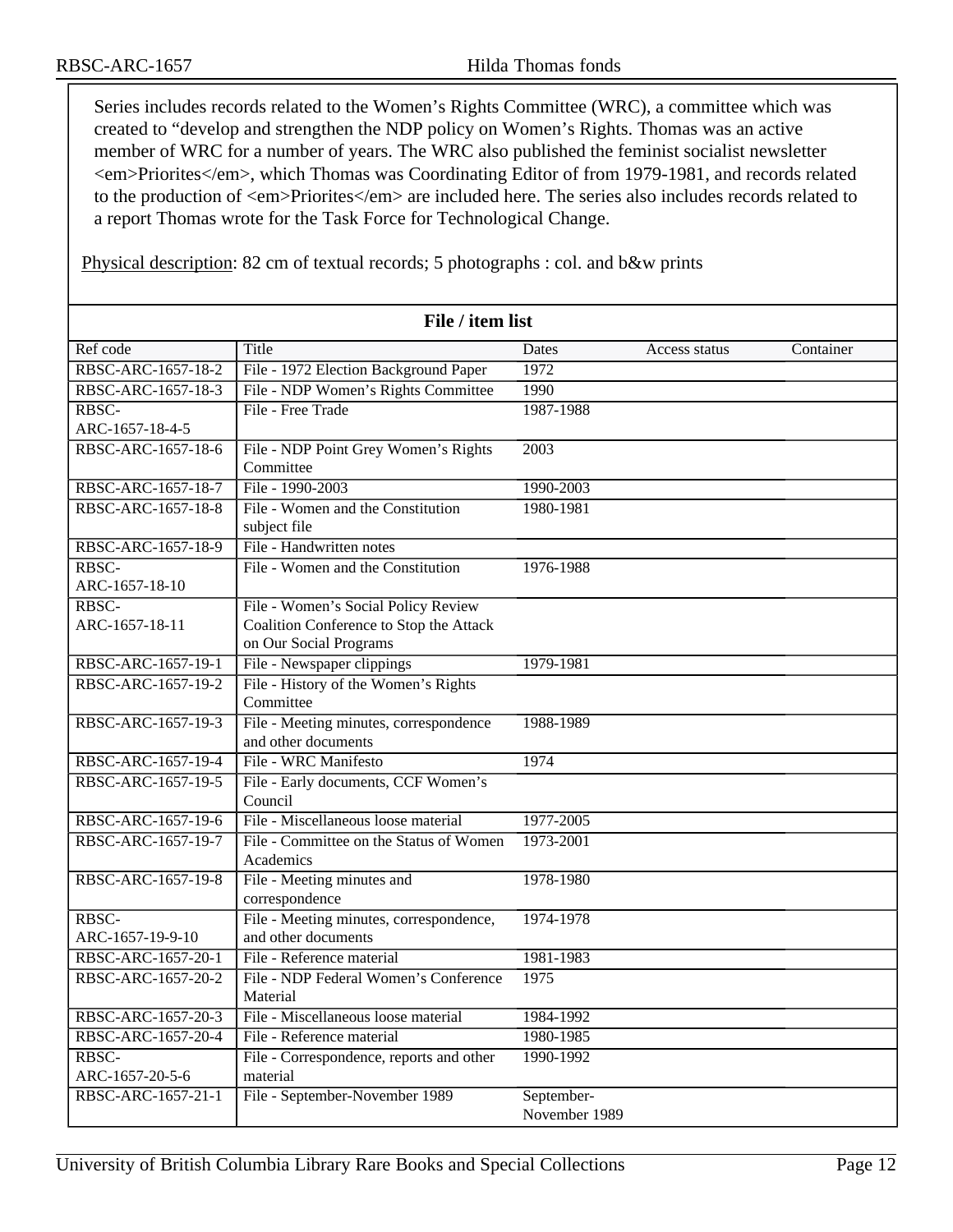Series includes records related to the Women's Rights Committee (WRC), a committee which was created to "develop and strengthen the NDP policy on Women's Rights. Thomas was an active member of WRC for a number of years. The WRC also published the feminist socialist newsletter <em>Priorites</em>, which Thomas was Coordinating Editor of from 1979-1981, and records related to the production of <em>Priorites</em> are included here. The series also includes records related to a report Thomas wrote for the Task Force for Technological Change.

Physical description: 82 cm of textual records; 5 photographs : col. and b&w prints

| File / item list         |                                                                                                          |                             |               |           |
|--------------------------|----------------------------------------------------------------------------------------------------------|-----------------------------|---------------|-----------|
| Ref code                 | Title                                                                                                    | Dates                       | Access status | Container |
| RBSC-ARC-1657-18-2       | File - 1972 Election Background Paper                                                                    | 1972                        |               |           |
| RBSC-ARC-1657-18-3       | File - NDP Women's Rights Committee                                                                      | 1990                        |               |           |
| RBSC-                    | File - Free Trade                                                                                        | 1987-1988                   |               |           |
| ARC-1657-18-4-5          |                                                                                                          |                             |               |           |
| RBSC-ARC-1657-18-6       | File - NDP Point Grey Women's Rights<br>Committee                                                        | 2003                        |               |           |
| RBSC-ARC-1657-18-7       | File - 1990-2003                                                                                         | 1990-2003                   |               |           |
| RBSC-ARC-1657-18-8       | File - Women and the Constitution<br>subject file                                                        | 1980-1981                   |               |           |
| RBSC-ARC-1657-18-9       | File - Handwritten notes                                                                                 |                             |               |           |
| RBSC-<br>ARC-1657-18-10  | File - Women and the Constitution                                                                        | 1976-1988                   |               |           |
| RBSC-<br>ARC-1657-18-11  | File - Women's Social Policy Review<br>Coalition Conference to Stop the Attack<br>on Our Social Programs |                             |               |           |
| RBSC-ARC-1657-19-1       | File - Newspaper clippings                                                                               | 1979-1981                   |               |           |
| RBSC-ARC-1657-19-2       | File - History of the Women's Rights<br>Committee                                                        |                             |               |           |
| RBSC-ARC-1657-19-3       | File - Meeting minutes, correspondence<br>and other documents                                            | 1988-1989                   |               |           |
| RBSC-ARC-1657-19-4       | File - WRC Manifesto                                                                                     | 1974                        |               |           |
| RBSC-ARC-1657-19-5       | File - Early documents, CCF Women's<br>Council                                                           |                             |               |           |
| RBSC-ARC-1657-19-6       | File - Miscellaneous loose material                                                                      | 1977-2005                   |               |           |
| RBSC-ARC-1657-19-7       | File - Committee on the Status of Women<br>Academics                                                     | 1973-2001                   |               |           |
| RBSC-ARC-1657-19-8       | File - Meeting minutes and<br>correspondence                                                             | 1978-1980                   |               |           |
| RBSC-                    | File - Meeting minutes, correspondence,                                                                  | 1974-1978                   |               |           |
| ARC-1657-19-9-10         | and other documents                                                                                      |                             |               |           |
| RBSC-ARC-1657-20-1       | File - Reference material                                                                                | 1981-1983                   |               |           |
| RBSC-ARC-1657-20-2       | File - NDP Federal Women's Conference<br>Material                                                        | 1975                        |               |           |
| RBSC-ARC-1657-20-3       | File - Miscellaneous loose material                                                                      | 1984-1992                   |               |           |
| RBSC-ARC-1657-20-4       | File - Reference material                                                                                | 1980-1985                   |               |           |
| RBSC-<br>ARC-1657-20-5-6 | File - Correspondence, reports and other<br>material                                                     | 1990-1992                   |               |           |
| RBSC-ARC-1657-21-1       | File - September-November 1989                                                                           | September-<br>November 1989 |               |           |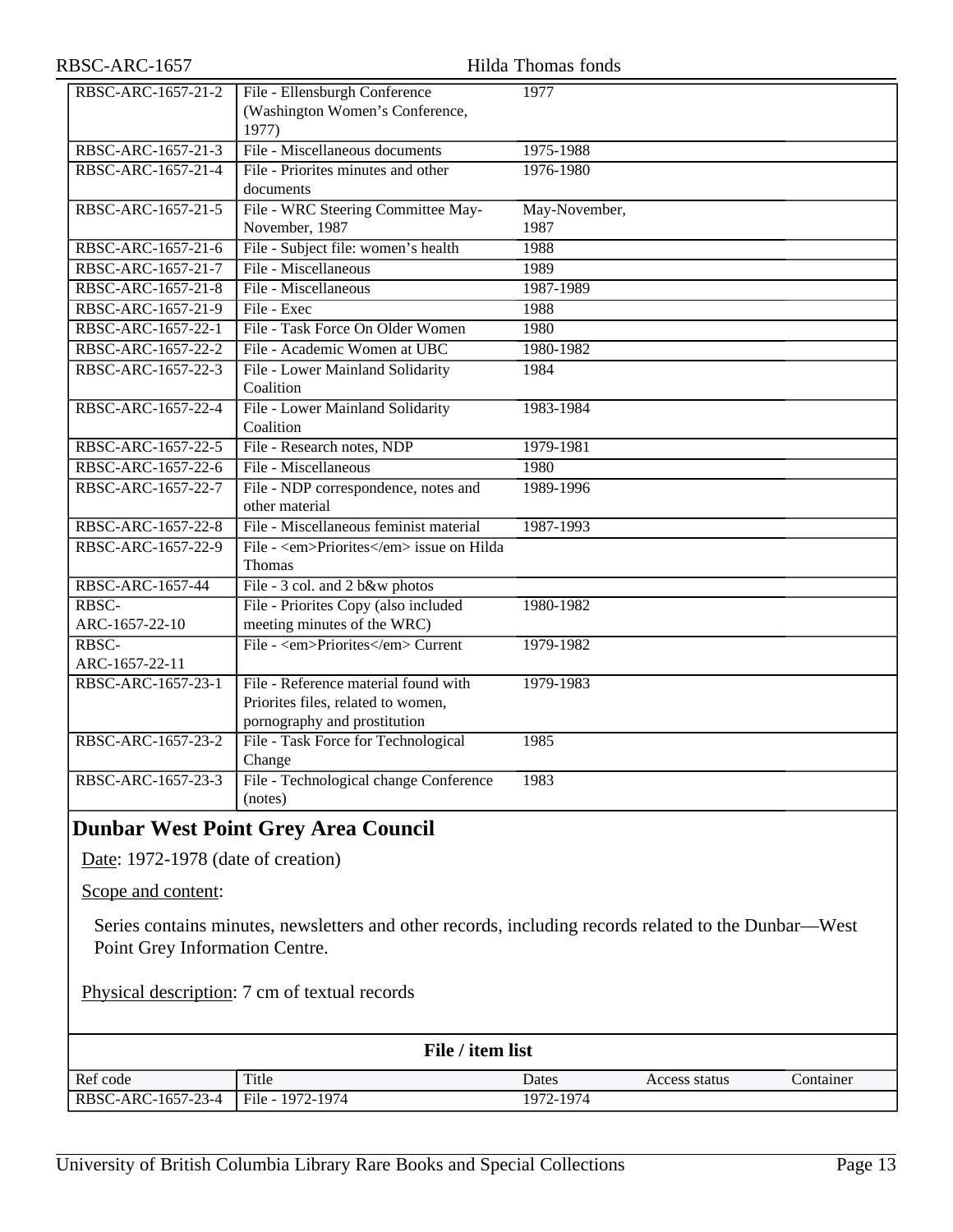| RBSC-ARC-1657           |                                                                                                            | Hilda Thomas fonds    |
|-------------------------|------------------------------------------------------------------------------------------------------------|-----------------------|
| RBSC-ARC-1657-21-2      | File - Ellensburgh Conference<br>(Washington Women's Conference,<br>1977)                                  | 1977                  |
| RBSC-ARC-1657-21-3      | File - Miscellaneous documents                                                                             | 1975-1988             |
| RBSC-ARC-1657-21-4      | File - Priorites minutes and other<br>documents                                                            | 1976-1980             |
| RBSC-ARC-1657-21-5      | File - WRC Steering Committee May-<br>November, 1987                                                       | May-November,<br>1987 |
| RBSC-ARC-1657-21-6      | File - Subject file: women's health                                                                        | 1988                  |
| RBSC-ARC-1657-21-7      | File - Miscellaneous                                                                                       | 1989                  |
| RBSC-ARC-1657-21-8      | File - Miscellaneous                                                                                       | 1987-1989             |
| RBSC-ARC-1657-21-9      | File - Exec                                                                                                | 1988                  |
| RBSC-ARC-1657-22-1      | File - Task Force On Older Women                                                                           | 1980                  |
| RBSC-ARC-1657-22-2      | File - Academic Women at UBC                                                                               | 1980-1982             |
| RBSC-ARC-1657-22-3      | File - Lower Mainland Solidarity<br>Coalition                                                              | 1984                  |
| RBSC-ARC-1657-22-4      | File - Lower Mainland Solidarity<br>Coalition                                                              | 1983-1984             |
| RBSC-ARC-1657-22-5      | File - Research notes, NDP                                                                                 | 1979-1981             |
| RBSC-ARC-1657-22-6      | File - Miscellaneous                                                                                       | 1980                  |
| RBSC-ARC-1657-22-7      | File - NDP correspondence, notes and<br>other material                                                     | 1989-1996             |
| RBSC-ARC-1657-22-8      | File - Miscellaneous feminist material                                                                     | 1987-1993             |
| RBSC-ARC-1657-22-9      | File - <em>Priorites</em> issue on Hilda<br>Thomas                                                         |                       |
| RBSC-ARC-1657-44        | File - 3 col. and 2 b&w photos                                                                             |                       |
| RBSC-<br>ARC-1657-22-10 | File - Priorites Copy (also included<br>meeting minutes of the WRC)                                        | 1980-1982             |
| RBSC-<br>ARC-1657-22-11 | File - <em>Priorites</em> Current                                                                          | 1979-1982             |
| RBSC-ARC-1657-23-1      | File - Reference material found with<br>Priorites files, related to women,<br>pornography and prostitution | 1979-1983             |
| RBSC-ARC-1657-23-2      | File - Task Force for Technological<br>Change                                                              | 1985                  |
| RBSC-ARC-1657-23-3      | File - Technological change Conference<br>(notes)                                                          | 1983                  |

<span id="page-12-0"></span>Series contains minutes, newsletters and other records, including records related to the Dunbar—West Point Grey Information Centre.

Physical description: 7 cm of textual records

| File / item list   |                  |           |               |           |
|--------------------|------------------|-----------|---------------|-----------|
| Ref code           | Title            | Dates     | Access status | Container |
| RBSC-ARC-1657-23-4 | File - 1972-1974 | 1972-1974 |               |           |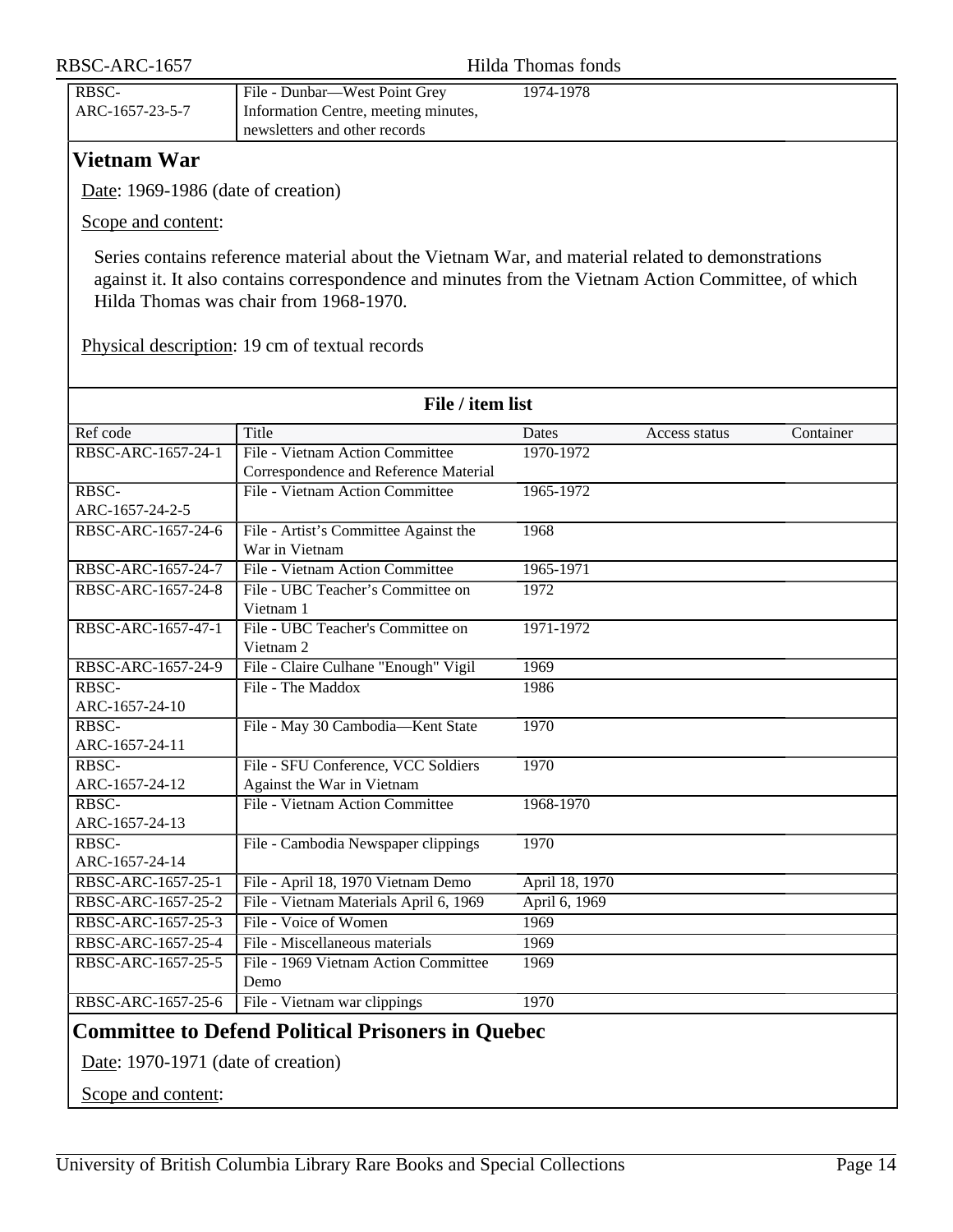| RBSC-ARC-1657            |                                                                                                        | Hilda Thomas fonds |  |
|--------------------------|--------------------------------------------------------------------------------------------------------|--------------------|--|
| RBSC-<br>ARC-1657-23-5-7 | File - Dunbar—West Point Grey<br>Information Centre, meeting minutes,<br>newsletters and other records | 1974-1978          |  |

## <span id="page-13-0"></span>**Vietnam War**

Date: 1969-1986 (date of creation)

Scope and content:

Series contains reference material about the Vietnam War, and material related to demonstrations against it. It also contains correspondence and minutes from the Vietnam Action Committee, of which Hilda Thomas was chair from 1968-1970.

Physical description: 19 cm of textual records

<span id="page-13-1"></span>

| Ref code<br>Title<br>RBSC-ARC-1657-24-1<br>RBSC-<br>ARC-1657-24-2-5<br>RBSC-ARC-1657-24-6<br>War in Vietnam<br>RBSC-ARC-1657-24-7<br>RBSC-ARC-1657-24-8<br>Vietnam 1<br>RBSC-ARC-1657-47-1 | File - Vietnam Action Committee<br>Correspondence and Reference Material<br>File - Vietnam Action Committee<br>File - Artist's Committee Against the<br>File - Vietnam Action Committee<br>File - UBC Teacher's Committee on<br>File - UBC Teacher's Committee on | Dates<br>1970-1972<br>1965-1972<br>1968<br>1965-1971<br>1972 | Access status | Container |
|--------------------------------------------------------------------------------------------------------------------------------------------------------------------------------------------|-------------------------------------------------------------------------------------------------------------------------------------------------------------------------------------------------------------------------------------------------------------------|--------------------------------------------------------------|---------------|-----------|
|                                                                                                                                                                                            |                                                                                                                                                                                                                                                                   |                                                              |               |           |
|                                                                                                                                                                                            |                                                                                                                                                                                                                                                                   |                                                              |               |           |
|                                                                                                                                                                                            |                                                                                                                                                                                                                                                                   |                                                              |               |           |
|                                                                                                                                                                                            |                                                                                                                                                                                                                                                                   |                                                              |               |           |
|                                                                                                                                                                                            |                                                                                                                                                                                                                                                                   |                                                              |               |           |
|                                                                                                                                                                                            |                                                                                                                                                                                                                                                                   |                                                              |               |           |
|                                                                                                                                                                                            |                                                                                                                                                                                                                                                                   |                                                              |               |           |
|                                                                                                                                                                                            |                                                                                                                                                                                                                                                                   |                                                              |               |           |
|                                                                                                                                                                                            |                                                                                                                                                                                                                                                                   |                                                              |               |           |
|                                                                                                                                                                                            |                                                                                                                                                                                                                                                                   |                                                              |               |           |
|                                                                                                                                                                                            |                                                                                                                                                                                                                                                                   | 1971-1972                                                    |               |           |
| Vietnam <sub>2</sub>                                                                                                                                                                       |                                                                                                                                                                                                                                                                   |                                                              |               |           |
| RBSC-ARC-1657-24-9                                                                                                                                                                         | File - Claire Culhane "Enough" Vigil                                                                                                                                                                                                                              | 1969                                                         |               |           |
| File - The Maddox<br>RBSC-                                                                                                                                                                 |                                                                                                                                                                                                                                                                   | 1986                                                         |               |           |
| ARC-1657-24-10                                                                                                                                                                             |                                                                                                                                                                                                                                                                   |                                                              |               |           |
| RBSC-                                                                                                                                                                                      | File - May 30 Cambodia-Kent State                                                                                                                                                                                                                                 | 1970                                                         |               |           |
| ARC-1657-24-11                                                                                                                                                                             |                                                                                                                                                                                                                                                                   |                                                              |               |           |
| RBSC-                                                                                                                                                                                      | File - SFU Conference, VCC Soldiers                                                                                                                                                                                                                               | 1970                                                         |               |           |
| ARC-1657-24-12                                                                                                                                                                             | Against the War in Vietnam                                                                                                                                                                                                                                        |                                                              |               |           |
| RBSC-                                                                                                                                                                                      | File - Vietnam Action Committee                                                                                                                                                                                                                                   | 1968-1970                                                    |               |           |
| ARC-1657-24-13                                                                                                                                                                             |                                                                                                                                                                                                                                                                   |                                                              |               |           |
| RBSC-                                                                                                                                                                                      | File - Cambodia Newspaper clippings                                                                                                                                                                                                                               | 1970                                                         |               |           |
| ARC-1657-24-14                                                                                                                                                                             |                                                                                                                                                                                                                                                                   |                                                              |               |           |
| RBSC-ARC-1657-25-1                                                                                                                                                                         | File - April 18, 1970 Vietnam Demo                                                                                                                                                                                                                                | April 18, 1970                                               |               |           |
| RBSC-ARC-1657-25-2                                                                                                                                                                         | File - Vietnam Materials April 6, 1969                                                                                                                                                                                                                            | April 6, 1969                                                |               |           |
| File - Voice of Women<br>RBSC-ARC-1657-25-3                                                                                                                                                |                                                                                                                                                                                                                                                                   | 1969                                                         |               |           |
| RBSC-ARC-1657-25-4                                                                                                                                                                         | File - Miscellaneous materials                                                                                                                                                                                                                                    | 1969                                                         |               |           |
| RBSC-ARC-1657-25-5                                                                                                                                                                         | File - 1969 Vietnam Action Committee                                                                                                                                                                                                                              | 1969                                                         |               |           |
| Demo                                                                                                                                                                                       |                                                                                                                                                                                                                                                                   |                                                              |               |           |
| RBSC-ARC-1657-25-6                                                                                                                                                                         | File - Vietnam war clippings                                                                                                                                                                                                                                      | 1970                                                         |               |           |
| <b>Committee to Defend Political Prisoners in Quebec</b><br>Date: 1970-1971 (date of creation)                                                                                             |                                                                                                                                                                                                                                                                   |                                                              |               |           |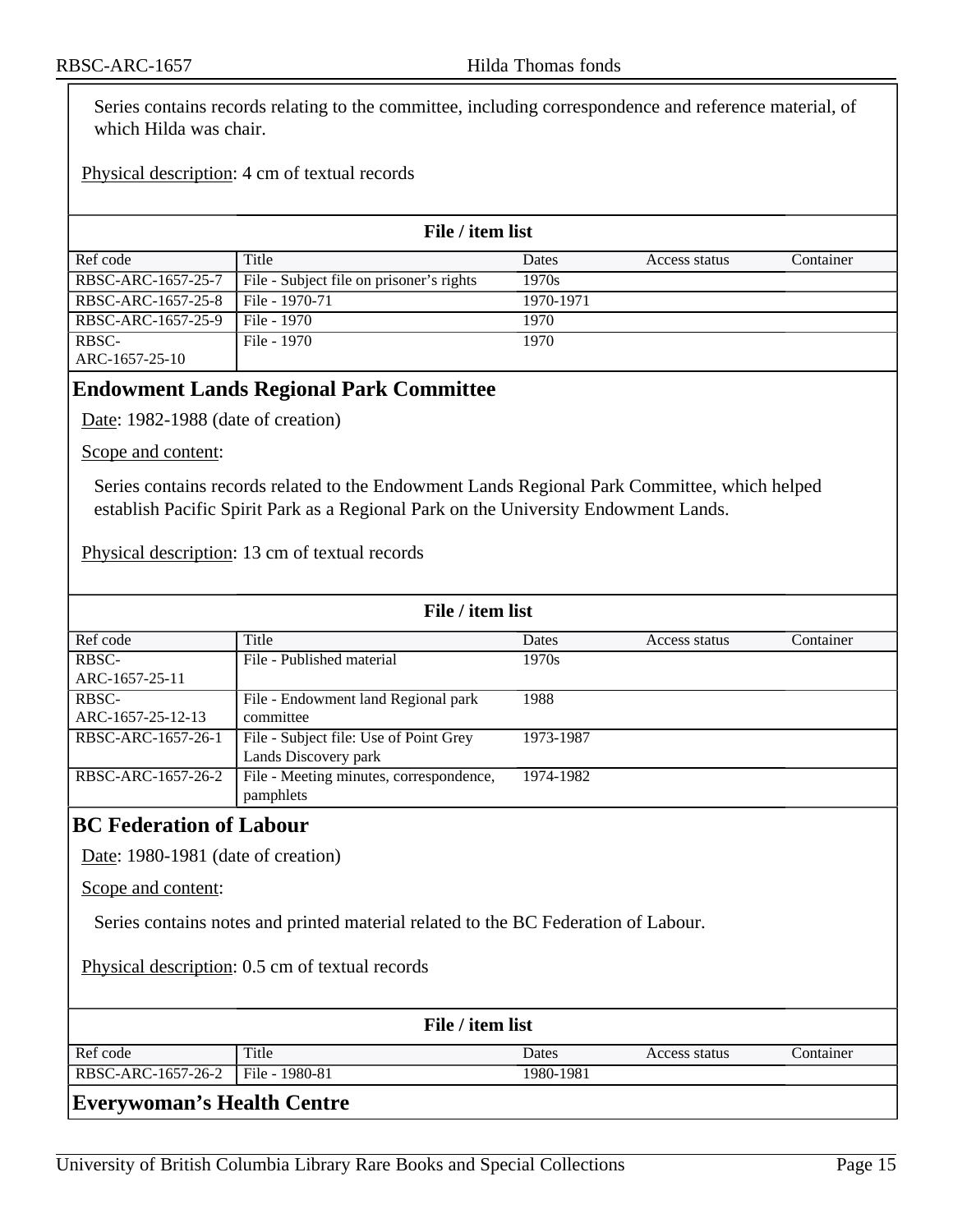Series contains records relating to the committee, including correspondence and reference material, of which Hilda was chair.

#### Physical description: 4 cm of textual records

| File / item list   |                                          |           |               |           |
|--------------------|------------------------------------------|-----------|---------------|-----------|
| Ref code           | Title                                    | Dates     | Access status | Container |
| RBSC-ARC-1657-25-7 | File - Subject file on prisoner's rights | 1970s     |               |           |
| RBSC-ARC-1657-25-8 | File - 1970-71                           | 1970-1971 |               |           |
| RBSC-ARC-1657-25-9 | File - 1970                              | 1970      |               |           |
| RBSC-              | File - 1970                              | 1970      |               |           |
| ARC-1657-25-10     |                                          |           |               |           |

#### <span id="page-14-0"></span>**Endowment Lands Regional Park Committee**

Date: 1982-1988 (date of creation)

Scope and content:

Series contains records related to the Endowment Lands Regional Park Committee, which helped establish Pacific Spirit Park as a Regional Park on the University Endowment Lands.

Physical description: 13 cm of textual records

| File / item list   |                                         |           |               |           |
|--------------------|-----------------------------------------|-----------|---------------|-----------|
| Ref code           | Title                                   | Dates     | Access status | Container |
| RBSC-              | File - Published material               | 1970s     |               |           |
| ARC-1657-25-11     |                                         |           |               |           |
| RBSC-              | File - Endowment land Regional park     | 1988      |               |           |
| ARC-1657-25-12-13  | committee                               |           |               |           |
| RBSC-ARC-1657-26-1 | File - Subject file: Use of Point Grey  | 1973-1987 |               |           |
|                    | Lands Discovery park                    |           |               |           |
| RBSC-ARC-1657-26-2 | File - Meeting minutes, correspondence, | 1974-1982 |               |           |
|                    | pamphlets                               |           |               |           |
|                    |                                         |           |               |           |

#### <span id="page-14-1"></span>**BC Federation of Labour**

Date: 1980-1981 (date of creation)

Scope and content:

Series contains notes and printed material related to the BC Federation of Labour.

Physical description: 0.5 cm of textual records

| File / item list                    |       |           |               |           |
|-------------------------------------|-------|-----------|---------------|-----------|
| Ref code                            | Title | Dates     | Access status | Container |
| RBSC-ARC-1657-26-2   File - 1980-81 |       | 1980-1981 |               |           |

#### <span id="page-14-2"></span>**Everywoman's Health Centre**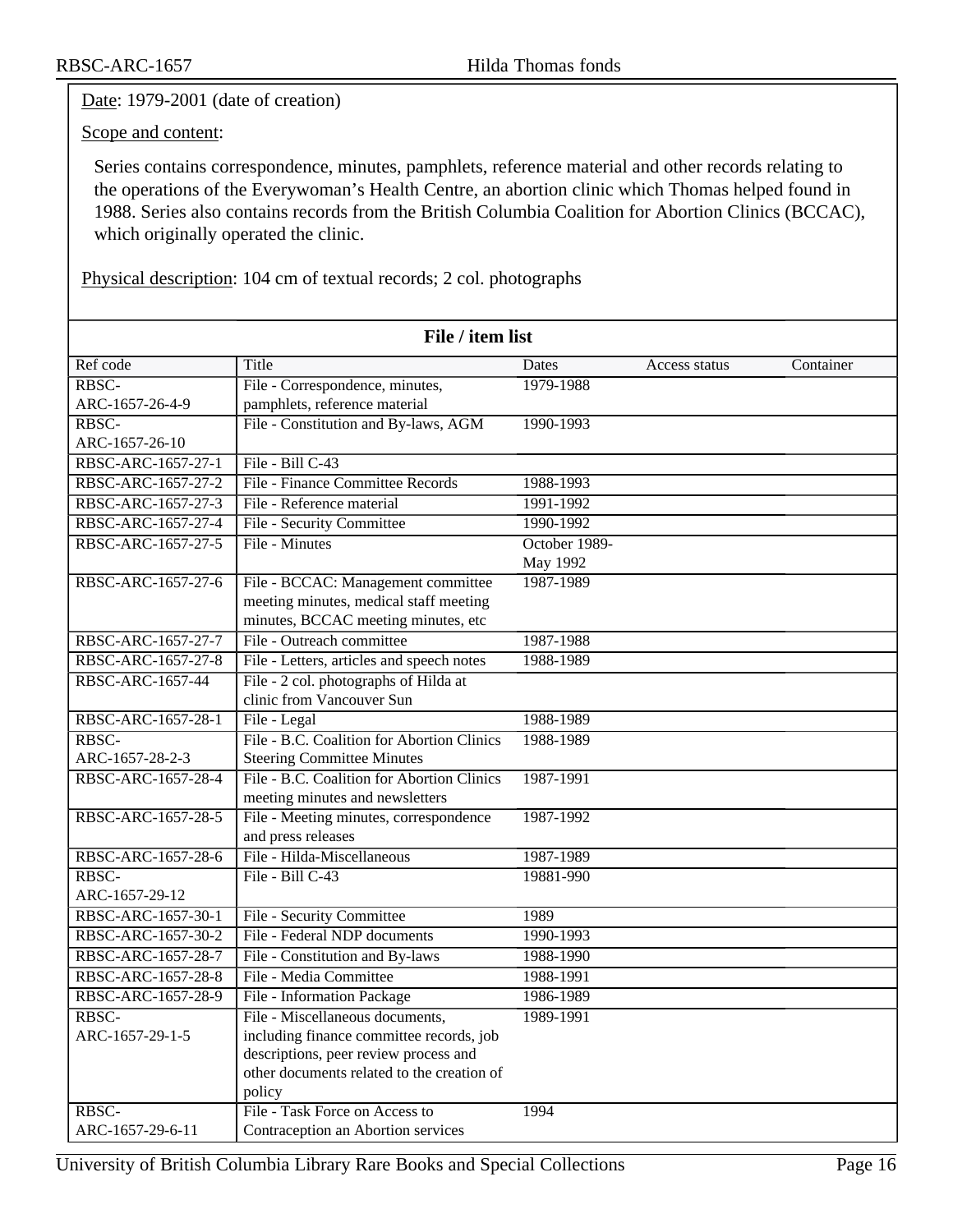Date: 1979-2001 (date of creation)

Scope and content:

Series contains correspondence, minutes, pamphlets, reference material and other records relating to the operations of the Everywoman's Health Centre, an abortion clinic which Thomas helped found in 1988. Series also contains records from the British Columbia Coalition for Abortion Clinics (BCCAC), which originally operated the clinic.

Physical description: 104 cm of textual records; 2 col. photographs

|                    | File / item list                           |               |               |           |
|--------------------|--------------------------------------------|---------------|---------------|-----------|
| Ref code           | Title                                      | Dates         | Access status | Container |
| RBSC-              | File - Correspondence, minutes,            | 1979-1988     |               |           |
| ARC-1657-26-4-9    | pamphlets, reference material              |               |               |           |
| RBSC-              | File - Constitution and By-laws, AGM       | 1990-1993     |               |           |
| ARC-1657-26-10     |                                            |               |               |           |
| RBSC-ARC-1657-27-1 | File - Bill C-43                           |               |               |           |
| RBSC-ARC-1657-27-2 | File - Finance Committee Records           | 1988-1993     |               |           |
| RBSC-ARC-1657-27-3 | File - Reference material                  | 1991-1992     |               |           |
| RBSC-ARC-1657-27-4 | File - Security Committee                  | 1990-1992     |               |           |
| RBSC-ARC-1657-27-5 | File - Minutes                             | October 1989- |               |           |
|                    |                                            | May 1992      |               |           |
| RBSC-ARC-1657-27-6 | File - BCCAC: Management committee         | 1987-1989     |               |           |
|                    | meeting minutes, medical staff meeting     |               |               |           |
|                    | minutes, BCCAC meeting minutes, etc        |               |               |           |
| RBSC-ARC-1657-27-7 | File - Outreach committee                  | 1987-1988     |               |           |
| RBSC-ARC-1657-27-8 | File - Letters, articles and speech notes  | 1988-1989     |               |           |
| RBSC-ARC-1657-44   | File - 2 col. photographs of Hilda at      |               |               |           |
|                    | clinic from Vancouver Sun                  |               |               |           |
| RBSC-ARC-1657-28-1 | File - Legal                               | 1988-1989     |               |           |
| RBSC-              | File - B.C. Coalition for Abortion Clinics | 1988-1989     |               |           |
| ARC-1657-28-2-3    | <b>Steering Committee Minutes</b>          |               |               |           |
| RBSC-ARC-1657-28-4 | File - B.C. Coalition for Abortion Clinics | 1987-1991     |               |           |
|                    | meeting minutes and newsletters            |               |               |           |
| RBSC-ARC-1657-28-5 | File - Meeting minutes, correspondence     | 1987-1992     |               |           |
|                    | and press releases                         |               |               |           |
| RBSC-ARC-1657-28-6 | File - Hilda-Miscellaneous                 | 1987-1989     |               |           |
| RBSC-              | File - Bill C-43                           | 19881-990     |               |           |
| ARC-1657-29-12     |                                            |               |               |           |
| RBSC-ARC-1657-30-1 | File - Security Committee                  | 1989          |               |           |
| RBSC-ARC-1657-30-2 | File - Federal NDP documents               | 1990-1993     |               |           |
| RBSC-ARC-1657-28-7 | File - Constitution and By-laws            | 1988-1990     |               |           |
| RBSC-ARC-1657-28-8 | File - Media Committee                     | 1988-1991     |               |           |
| RBSC-ARC-1657-28-9 | File - Information Package                 | 1986-1989     |               |           |
| RBSC-              | File - Miscellaneous documents,            | 1989-1991     |               |           |
| ARC-1657-29-1-5    | including finance committee records, job   |               |               |           |
|                    | descriptions, peer review process and      |               |               |           |
|                    | other documents related to the creation of |               |               |           |
|                    | policy                                     |               |               |           |
| RBSC-              | File - Task Force on Access to             | 1994          |               |           |
| ARC-1657-29-6-11   | Contraception an Abortion services         |               |               |           |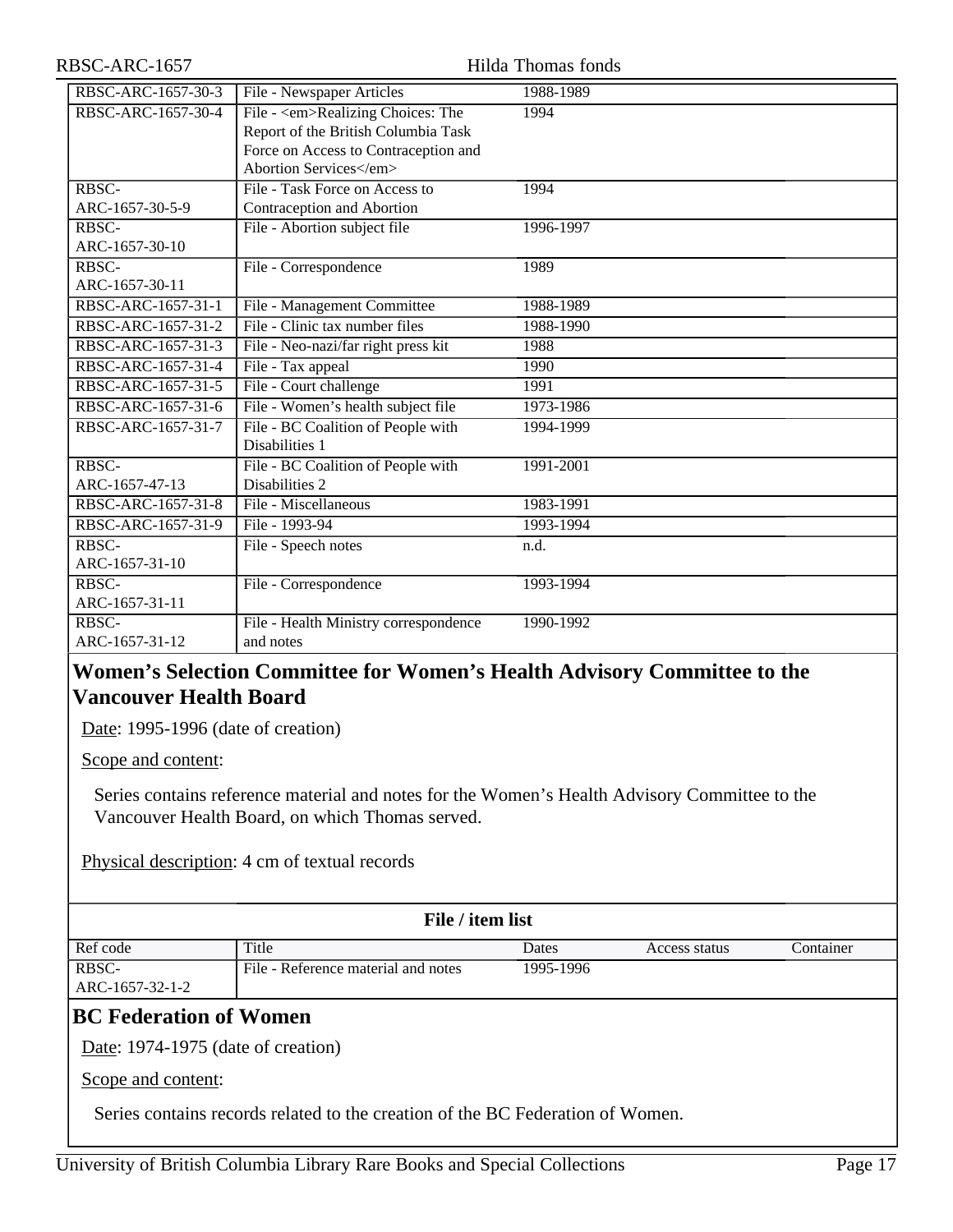#### RBSC-ARC-1657 Hilda Thomas fonds

| RBSC-ARC-1657-30-3 | File - Newspaper Articles              | 1988-1989 |
|--------------------|----------------------------------------|-----------|
| RBSC-ARC-1657-30-4 | File - <em>Realizing Choices: The</em> | 1994      |
|                    | Report of the British Columbia Task    |           |
|                    | Force on Access to Contraception and   |           |
|                    | Abortion Services                      |           |
| RBSC-              | File - Task Force on Access to         | 1994      |
| ARC-1657-30-5-9    | Contraception and Abortion             |           |
| RBSC-              | File - Abortion subject file           | 1996-1997 |
| ARC-1657-30-10     |                                        |           |
| RBSC-              | File - Correspondence                  | 1989      |
| ARC-1657-30-11     |                                        |           |
| RBSC-ARC-1657-31-1 | File - Management Committee            | 1988-1989 |
| RBSC-ARC-1657-31-2 | File - Clinic tax number files         | 1988-1990 |
| RBSC-ARC-1657-31-3 | File - Neo-nazi/far right press kit    | 1988      |
| RBSC-ARC-1657-31-4 | File - Tax appeal                      | 1990      |
| RBSC-ARC-1657-31-5 | File - Court challenge                 | 1991      |
| RBSC-ARC-1657-31-6 | File - Women's health subject file     | 1973-1986 |
| RBSC-ARC-1657-31-7 | File - BC Coalition of People with     | 1994-1999 |
|                    | Disabilities 1                         |           |
| RBSC-              | File - BC Coalition of People with     | 1991-2001 |
| ARC-1657-47-13     | Disabilities 2                         |           |
| RBSC-ARC-1657-31-8 | File - Miscellaneous                   | 1983-1991 |
| RBSC-ARC-1657-31-9 | File - 1993-94                         | 1993-1994 |
| RBSC-              | File - Speech notes                    | n.d.      |
| ARC-1657-31-10     |                                        |           |
| RBSC-              | File - Correspondence                  | 1993-1994 |
| ARC-1657-31-11     |                                        |           |
| RBSC-              | File - Health Ministry correspondence  | 1990-1992 |
| ARC-1657-31-12     | and notes                              |           |

## <span id="page-16-0"></span>**Women's Selection Committee for Women's Health Advisory Committee to the Vancouver Health Board**

Date: 1995-1996 (date of creation)

Scope and content:

Series contains reference material and notes for the Women's Health Advisory Committee to the Vancouver Health Board, on which Thomas served.

Physical description: 4 cm of textual records

#### **File / item list**

| Ref code        | Title                               | Dates     | Access status | Container |
|-----------------|-------------------------------------|-----------|---------------|-----------|
| RBSC-           | file - Reference material and notes | 1995-1996 |               |           |
| ARC-1657-32-1-2 |                                     |           |               |           |

## <span id="page-16-1"></span>**BC Federation of Women**

Date: 1974-1975 (date of creation)

Scope and content:

Series contains records related to the creation of the BC Federation of Women.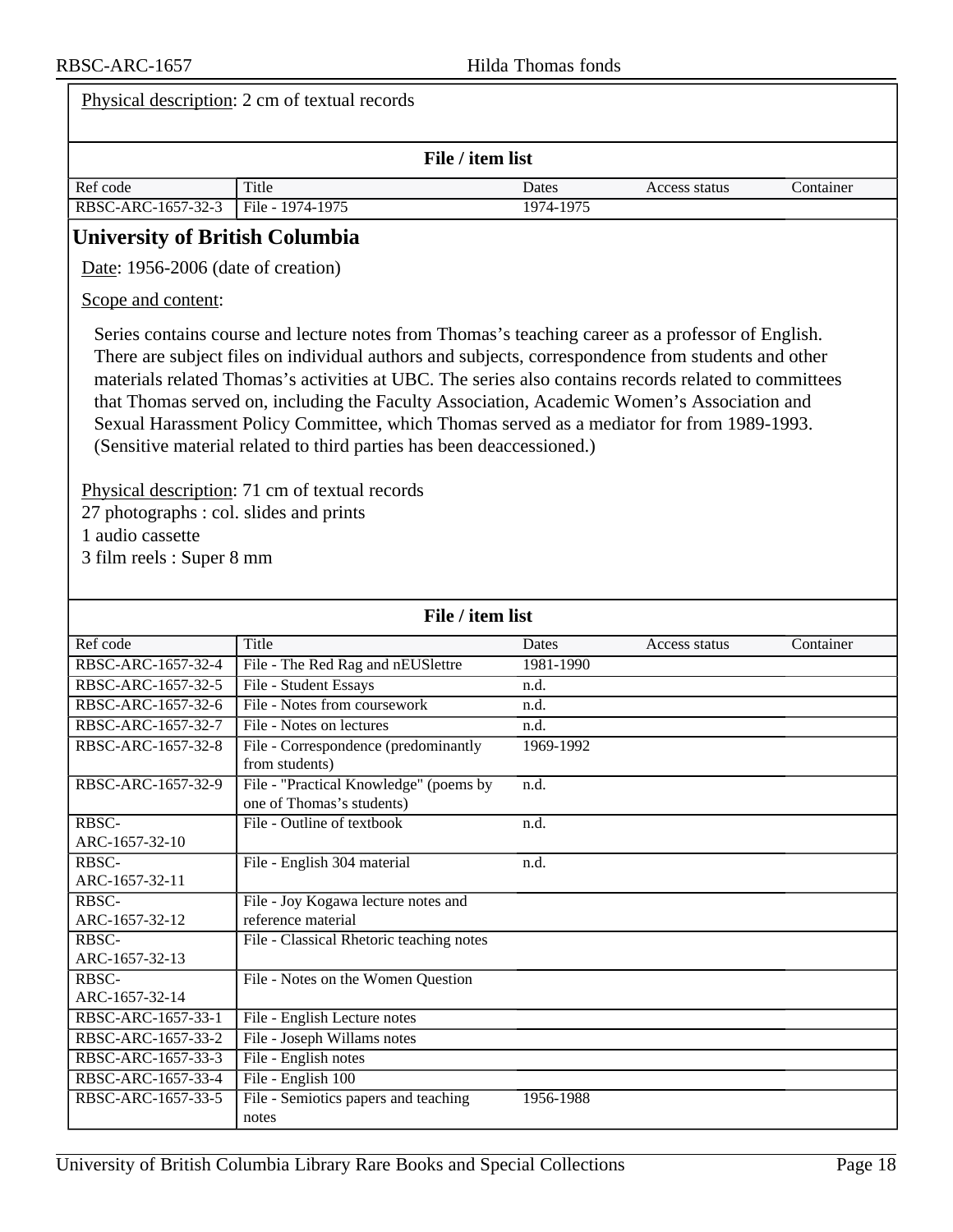<span id="page-17-0"></span>

| Physical description: 2 cm of textual records                                                                                                                                                                                                                                                                                                                                                                                                                                                                                                                                                                                                                                                                                     |                                          |           |               |           |
|-----------------------------------------------------------------------------------------------------------------------------------------------------------------------------------------------------------------------------------------------------------------------------------------------------------------------------------------------------------------------------------------------------------------------------------------------------------------------------------------------------------------------------------------------------------------------------------------------------------------------------------------------------------------------------------------------------------------------------------|------------------------------------------|-----------|---------------|-----------|
| File / item list                                                                                                                                                                                                                                                                                                                                                                                                                                                                                                                                                                                                                                                                                                                  |                                          |           |               |           |
| Ref code                                                                                                                                                                                                                                                                                                                                                                                                                                                                                                                                                                                                                                                                                                                          | Title                                    | Dates     | Access status | Container |
| RBSC-ARC-1657-32-3                                                                                                                                                                                                                                                                                                                                                                                                                                                                                                                                                                                                                                                                                                                | File - 1974-1975                         | 1974-1975 |               |           |
| <b>University of British Columbia</b>                                                                                                                                                                                                                                                                                                                                                                                                                                                                                                                                                                                                                                                                                             |                                          |           |               |           |
| Date: 1956-2006 (date of creation)                                                                                                                                                                                                                                                                                                                                                                                                                                                                                                                                                                                                                                                                                                |                                          |           |               |           |
| Scope and content:                                                                                                                                                                                                                                                                                                                                                                                                                                                                                                                                                                                                                                                                                                                |                                          |           |               |           |
| Series contains course and lecture notes from Thomas's teaching career as a professor of English.<br>There are subject files on individual authors and subjects, correspondence from students and other<br>materials related Thomas's activities at UBC. The series also contains records related to committees<br>that Thomas served on, including the Faculty Association, Academic Women's Association and<br>Sexual Harassment Policy Committee, which Thomas served as a mediator for from 1989-1993.<br>(Sensitive material related to third parties has been deaccessioned.)<br>Physical description: 71 cm of textual records<br>27 photographs : col. slides and prints<br>1 audio cassette<br>3 film reels : Super 8 mm |                                          |           |               |           |
|                                                                                                                                                                                                                                                                                                                                                                                                                                                                                                                                                                                                                                                                                                                                   | File / item list                         |           |               |           |
| Ref code                                                                                                                                                                                                                                                                                                                                                                                                                                                                                                                                                                                                                                                                                                                          | Title                                    | Dates     | Access status | Container |
| RBSC-ARC-1657-32-4                                                                                                                                                                                                                                                                                                                                                                                                                                                                                                                                                                                                                                                                                                                | File - The Red Rag and nEUSlettre        | 1981-1990 |               |           |
| RBSC-ARC-1657-32-5                                                                                                                                                                                                                                                                                                                                                                                                                                                                                                                                                                                                                                                                                                                | File - Student Essays                    | n.d.      |               |           |
| RBSC-ARC-1657-32-6                                                                                                                                                                                                                                                                                                                                                                                                                                                                                                                                                                                                                                                                                                                | File - Notes from coursework             | n.d.      |               |           |
| RBSC-ARC-1657-32-7                                                                                                                                                                                                                                                                                                                                                                                                                                                                                                                                                                                                                                                                                                                | File - Notes on lectures                 | n.d.      |               |           |
| RBSC-ARC-1657-32-8                                                                                                                                                                                                                                                                                                                                                                                                                                                                                                                                                                                                                                                                                                                | File - Correspondence (predominantly     | 1969-1992 |               |           |
|                                                                                                                                                                                                                                                                                                                                                                                                                                                                                                                                                                                                                                                                                                                                   | from students)                           |           |               |           |
| RBSC-ARC-1657-32-9                                                                                                                                                                                                                                                                                                                                                                                                                                                                                                                                                                                                                                                                                                                | File - "Practical Knowledge" (poems by   | n.d.      |               |           |
|                                                                                                                                                                                                                                                                                                                                                                                                                                                                                                                                                                                                                                                                                                                                   | one of Thomas's students)                |           |               |           |
| RBSC-                                                                                                                                                                                                                                                                                                                                                                                                                                                                                                                                                                                                                                                                                                                             | File - Outline of textbook               | n.d.      |               |           |
| ARC-1657-32-10                                                                                                                                                                                                                                                                                                                                                                                                                                                                                                                                                                                                                                                                                                                    |                                          |           |               |           |
| RBSC-                                                                                                                                                                                                                                                                                                                                                                                                                                                                                                                                                                                                                                                                                                                             | File - English 304 material              | n.d.      |               |           |
| ARC-1657-32-11                                                                                                                                                                                                                                                                                                                                                                                                                                                                                                                                                                                                                                                                                                                    |                                          |           |               |           |
| RBSC-                                                                                                                                                                                                                                                                                                                                                                                                                                                                                                                                                                                                                                                                                                                             | File - Joy Kogawa lecture notes and      |           |               |           |
| ARC-1657-32-12                                                                                                                                                                                                                                                                                                                                                                                                                                                                                                                                                                                                                                                                                                                    | reference material                       |           |               |           |
| RBSC-                                                                                                                                                                                                                                                                                                                                                                                                                                                                                                                                                                                                                                                                                                                             | File - Classical Rhetoric teaching notes |           |               |           |
| ARC-1657-32-13                                                                                                                                                                                                                                                                                                                                                                                                                                                                                                                                                                                                                                                                                                                    |                                          |           |               |           |
| RBSC-                                                                                                                                                                                                                                                                                                                                                                                                                                                                                                                                                                                                                                                                                                                             | File - Notes on the Women Question       |           |               |           |
| ARC-1657-32-14                                                                                                                                                                                                                                                                                                                                                                                                                                                                                                                                                                                                                                                                                                                    |                                          |           |               |           |
| RBSC-ARC-1657-33-1                                                                                                                                                                                                                                                                                                                                                                                                                                                                                                                                                                                                                                                                                                                | File - English Lecture notes             |           |               |           |
| RBSC-ARC-1657-33-2                                                                                                                                                                                                                                                                                                                                                                                                                                                                                                                                                                                                                                                                                                                | File - Joseph Willams notes              |           |               |           |
| RBSC-ARC-1657-33-3                                                                                                                                                                                                                                                                                                                                                                                                                                                                                                                                                                                                                                                                                                                | File - English notes                     |           |               |           |
| RBSC-ARC-1657-33-4                                                                                                                                                                                                                                                                                                                                                                                                                                                                                                                                                                                                                                                                                                                | File - English 100                       |           |               |           |
| RBSC-ARC-1657-33-5                                                                                                                                                                                                                                                                                                                                                                                                                                                                                                                                                                                                                                                                                                                | File - Semiotics papers and teaching     | 1956-1988 |               |           |
|                                                                                                                                                                                                                                                                                                                                                                                                                                                                                                                                                                                                                                                                                                                                   | notes                                    |           |               |           |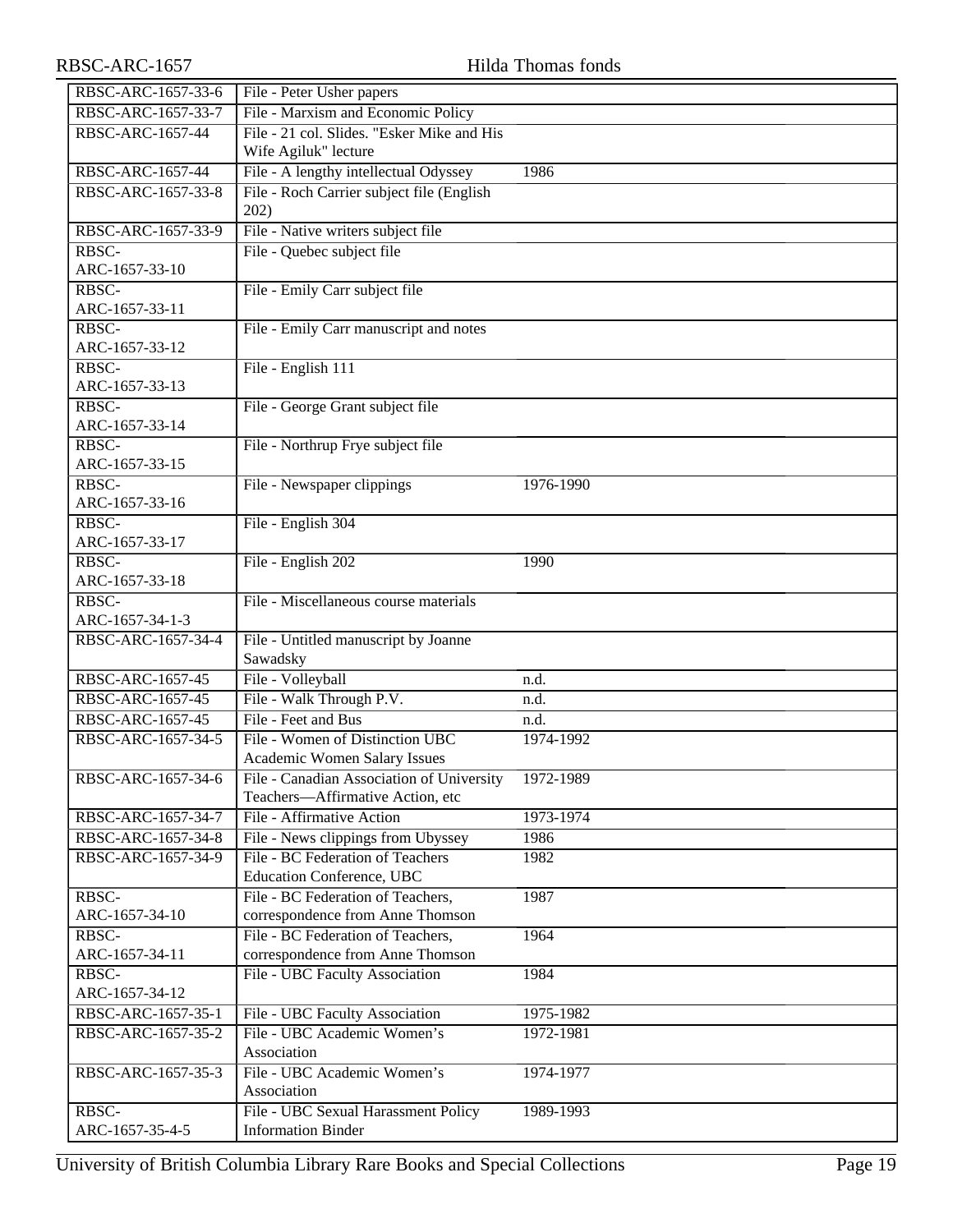| RBSC-ARC-1657-33-6      | File - Peter Usher papers                        |           |
|-------------------------|--------------------------------------------------|-----------|
| RBSC-ARC-1657-33-7      | File - Marxism and Economic Policy               |           |
| RBSC-ARC-1657-44        | File - 21 col. Slides. "Esker Mike and His       |           |
|                         | Wife Agiluk" lecture                             |           |
| RBSC-ARC-1657-44        | File - A lengthy intellectual Odyssey            | 1986      |
| RBSC-ARC-1657-33-8      | File - Roch Carrier subject file (English        |           |
|                         | 202)                                             |           |
| RBSC-ARC-1657-33-9      | File - Native writers subject file               |           |
| RBSC-                   | File - Quebec subject file                       |           |
| ARC-1657-33-10          |                                                  |           |
| RBSC-                   | File - Emily Carr subject file                   |           |
| ARC-1657-33-11          |                                                  |           |
| RBSC-                   | File - Emily Carr manuscript and notes           |           |
| ARC-1657-33-12          |                                                  |           |
| RBSC-                   | File - English 111                               |           |
| ARC-1657-33-13          |                                                  |           |
| RBSC-                   | File - George Grant subject file                 |           |
| ARC-1657-33-14          |                                                  |           |
| RBSC-                   | File - Northrup Frye subject file                |           |
| ARC-1657-33-15          |                                                  |           |
| RBSC-                   | File - Newspaper clippings                       | 1976-1990 |
| ARC-1657-33-16          |                                                  |           |
| RBSC-                   | File - English 304                               |           |
| ARC-1657-33-17          |                                                  |           |
| RBSC-                   | File - English 202                               | 1990      |
| ARC-1657-33-18          |                                                  |           |
| RBSC-                   | File - Miscellaneous course materials            |           |
| ARC-1657-34-1-3         |                                                  |           |
| RBSC-ARC-1657-34-4      | File - Untitled manuscript by Joanne<br>Sawadsky |           |
| RBSC-ARC-1657-45        | File - Volleyball                                | n.d.      |
| RBSC-ARC-1657-45        | File - Walk Through P.V.                         | n.d.      |
| <b>RBSC-ARC-1657-45</b> | File - Feet and Bus                              | n.d.      |
| RBSC-ARC-1657-34-5      | File - Women of Distinction UBC                  | 1974-1992 |
|                         | Academic Women Salary Issues                     |           |
| RBSC-ARC-1657-34-6      | File - Canadian Association of University        | 1972-1989 |
|                         | Teachers-Affirmative Action, etc                 |           |
| RBSC-ARC-1657-34-7      | File - Affirmative Action                        | 1973-1974 |
| RBSC-ARC-1657-34-8      | File - News clippings from Ubyssey               | 1986      |
| RBSC-ARC-1657-34-9      | File - BC Federation of Teachers                 | 1982      |
|                         | <b>Education Conference, UBC</b>                 |           |
| RBSC-                   | File - BC Federation of Teachers,                | 1987      |
| ARC-1657-34-10          | correspondence from Anne Thomson                 |           |
| RBSC-                   | File - BC Federation of Teachers,                | 1964      |
| ARC-1657-34-11          | correspondence from Anne Thomson                 |           |
| RBSC-                   | File - UBC Faculty Association                   | 1984      |
| ARC-1657-34-12          |                                                  |           |
| RBSC-ARC-1657-35-1      | File - UBC Faculty Association                   | 1975-1982 |
| RBSC-ARC-1657-35-2      | File - UBC Academic Women's                      | 1972-1981 |
|                         | Association                                      |           |
| RBSC-ARC-1657-35-3      | File - UBC Academic Women's                      | 1974-1977 |
|                         | Association                                      |           |
| RBSC-                   | File - UBC Sexual Harassment Policy              | 1989-1993 |
| ARC-1657-35-4-5         | <b>Information Binder</b>                        |           |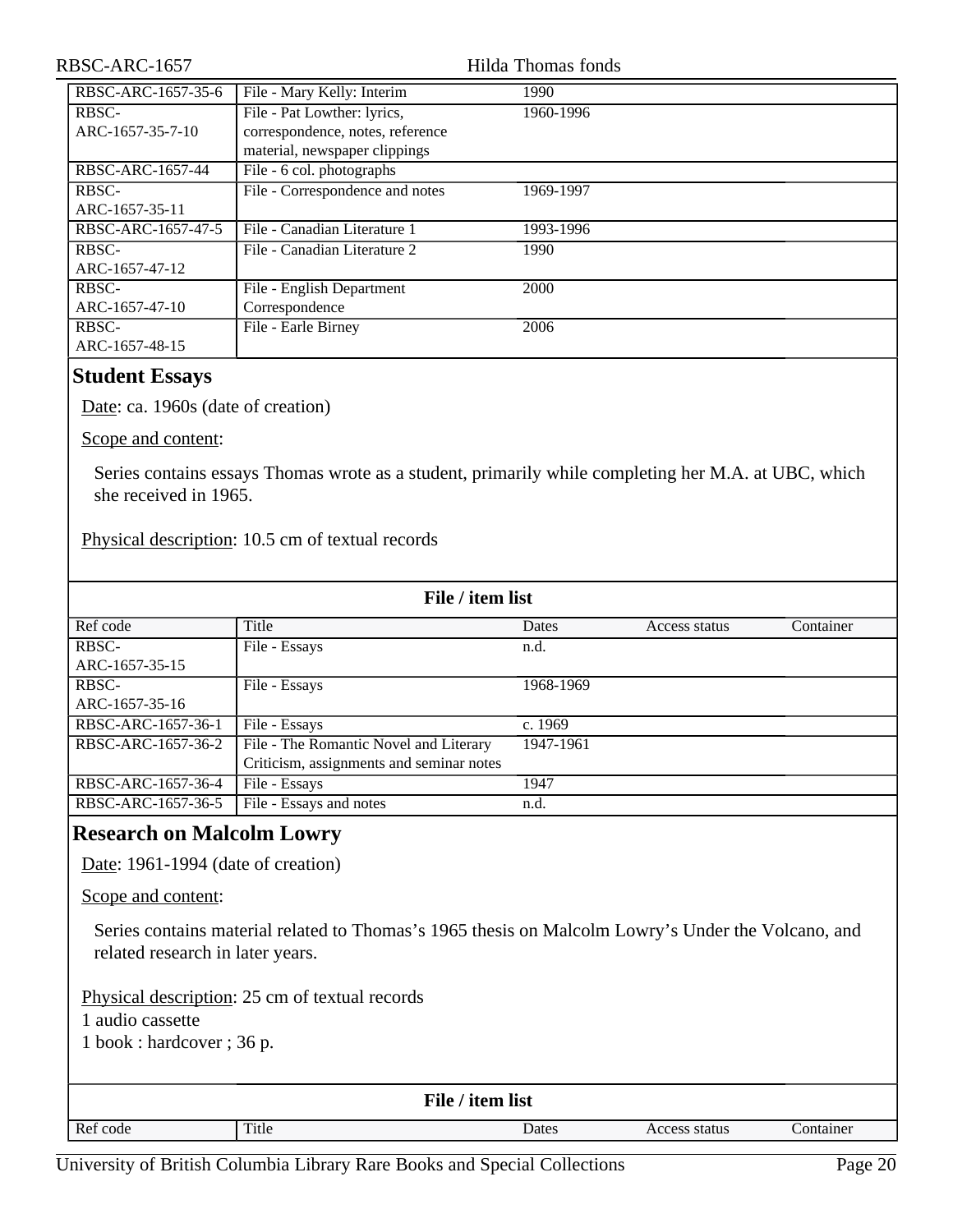| RBSC-ARC-1657      |                                  | Hilda Thomas fonds |  |
|--------------------|----------------------------------|--------------------|--|
| RBSC-ARC-1657-35-6 | File - Mary Kelly: Interim       | 1990               |  |
| RBSC-              | File - Pat Lowther: lyrics,      | 1960-1996          |  |
| ARC-1657-35-7-10   | correspondence, notes, reference |                    |  |
|                    | material, newspaper clippings    |                    |  |
| RBSC-ARC-1657-44   | File - 6 col. photographs        |                    |  |
| RBSC-              | File - Correspondence and notes  | 1969-1997          |  |
| ARC-1657-35-11     |                                  |                    |  |
| RBSC-ARC-1657-47-5 | File - Canadian Literature 1     | 1993-1996          |  |
| RBSC-              | File - Canadian Literature 2     | 1990               |  |
| ARC-1657-47-12     |                                  |                    |  |
| RBSC-              | File - English Department        | 2000               |  |
| ARC-1657-47-10     | Correspondence                   |                    |  |
| RBSC-              | File - Earle Birney              | 2006               |  |
| ARC-1657-48-15     |                                  |                    |  |

#### <span id="page-19-0"></span>**Student Essays**

Date: ca. 1960s (date of creation)

Scope and content:

Series contains essays Thomas wrote as a student, primarily while completing her M.A. at UBC, which she received in 1965.

Physical description: 10.5 cm of textual records

| File / item list   |                                          |           |               |           |  |
|--------------------|------------------------------------------|-----------|---------------|-----------|--|
| Ref code           | Title                                    | Dates     | Access status | Container |  |
| RBSC-              | File - Essays                            | n.d.      |               |           |  |
| ARC-1657-35-15     |                                          |           |               |           |  |
| RBSC-              | File - Essays                            | 1968-1969 |               |           |  |
| ARC-1657-35-16     |                                          |           |               |           |  |
| RBSC-ARC-1657-36-1 | File - Essays                            | c. $1969$ |               |           |  |
| RBSC-ARC-1657-36-2 | File - The Romantic Novel and Literary   | 1947-1961 |               |           |  |
|                    | Criticism, assignments and seminar notes |           |               |           |  |
| RBSC-ARC-1657-36-4 | File - Essays                            | 1947      |               |           |  |
| RBSC-ARC-1657-36-5 | File - Essays and notes                  | n.d.      |               |           |  |

#### <span id="page-19-1"></span>**Research on Malcolm Lowry**

Date: 1961-1994 (date of creation)

Scope and content:

Series contains material related to Thomas's 1965 thesis on Malcolm Lowry's Under the Volcano, and related research in later years.

Physical description: 25 cm of textual records 1 audio cassette

1 book : hardcover ; 36 p.

|          |       | File / item list |               |           |
|----------|-------|------------------|---------------|-----------|
| Ref code | Title | Dates            | Access status | Container |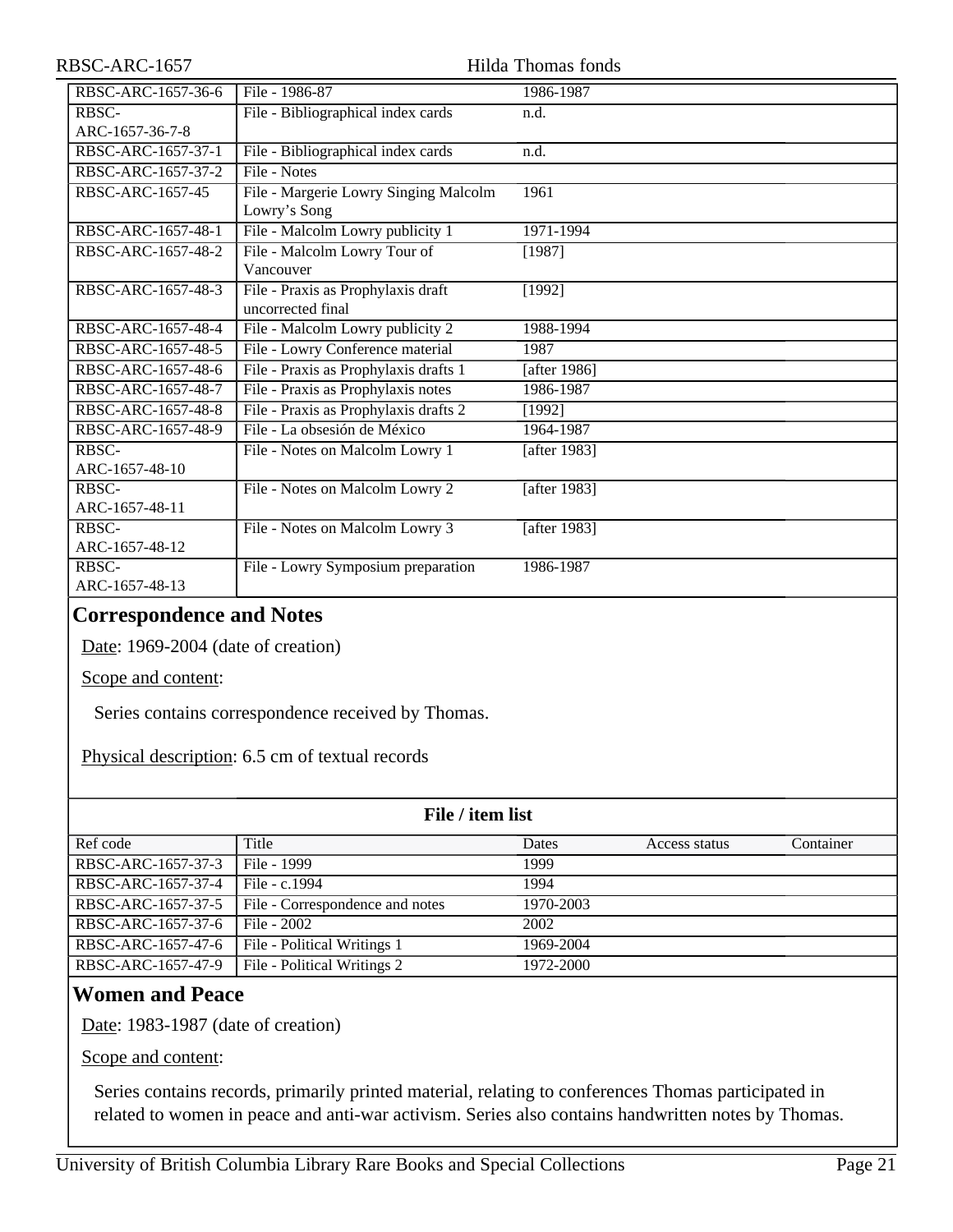| RBSC-ARC-1657      | Hilda Thomas fonds                                    |              |  |
|--------------------|-------------------------------------------------------|--------------|--|
| RBSC-ARC-1657-36-6 | File - 1986-87                                        | 1986-1987    |  |
| RBSC-              | File - Bibliographical index cards                    | n.d.         |  |
| ARC-1657-36-7-8    |                                                       |              |  |
| RBSC-ARC-1657-37-1 | File - Bibliographical index cards                    | n.d.         |  |
| RBSC-ARC-1657-37-2 | File - Notes                                          |              |  |
| RBSC-ARC-1657-45   | File - Margerie Lowry Singing Malcolm<br>Lowry's Song | 1961         |  |
| RBSC-ARC-1657-48-1 | File - Malcolm Lowry publicity 1                      | 1971-1994    |  |
| RBSC-ARC-1657-48-2 | File - Malcolm Lowry Tour of                          | [1987]       |  |
|                    | Vancouver                                             |              |  |
| RBSC-ARC-1657-48-3 | File - Praxis as Prophylaxis draft                    | [1992]       |  |
|                    | uncorrected final                                     |              |  |
| RBSC-ARC-1657-48-4 | File - Malcolm Lowry publicity 2                      | 1988-1994    |  |
| RBSC-ARC-1657-48-5 | File - Lowry Conference material                      | 1987         |  |
| RBSC-ARC-1657-48-6 | File - Praxis as Prophylaxis drafts 1                 | [after 1986] |  |
| RBSC-ARC-1657-48-7 | File - Praxis as Prophylaxis notes                    | 1986-1987    |  |
| RBSC-ARC-1657-48-8 | File - Praxis as Prophylaxis drafts 2                 | [1992]       |  |
| RBSC-ARC-1657-48-9 | File - La obsesión de México                          | 1964-1987    |  |
| <b>RBSC-</b>       | File - Notes on Malcolm Lowry 1                       | [after 1983] |  |
| ARC-1657-48-10     |                                                       |              |  |
| RBSC-              | File - Notes on Malcolm Lowry 2                       | [after 1983] |  |
| ARC-1657-48-11     |                                                       |              |  |
| RBSC-              | File - Notes on Malcolm Lowry 3                       | [after 1983] |  |
| ARC-1657-48-12     |                                                       |              |  |
| RBSC-              | File - Lowry Symposium preparation                    | 1986-1987    |  |
| ARC-1657-48-13     |                                                       |              |  |

#### <span id="page-20-0"></span>**Correspondence and Notes**

Date: 1969-2004 (date of creation)

Scope and content:

Series contains correspondence received by Thomas.

Physical description: 6.5 cm of textual records

| File / item list   |                                 |              |               |           |
|--------------------|---------------------------------|--------------|---------------|-----------|
| Ref code           | Title                           | <b>Dates</b> | Access status | Container |
| RBSC-ARC-1657-37-3 | File - 1999                     | 1999         |               |           |
| RBSC-ARC-1657-37-4 | File - c.1994                   | 1994         |               |           |
| RBSC-ARC-1657-37-5 | File - Correspondence and notes | 1970-2003    |               |           |
| RBSC-ARC-1657-37-6 | File $-2002$                    | 2002         |               |           |
| RBSC-ARC-1657-47-6 | File - Political Writings 1     | 1969-2004    |               |           |
| RBSC-ARC-1657-47-9 | File - Political Writings 2     | 1972-2000    |               |           |

## <span id="page-20-1"></span>**Women and Peace**

Date: 1983-1987 (date of creation)

Scope and content:

Series contains records, primarily printed material, relating to conferences Thomas participated in related to women in peace and anti-war activism. Series also contains handwritten notes by Thomas.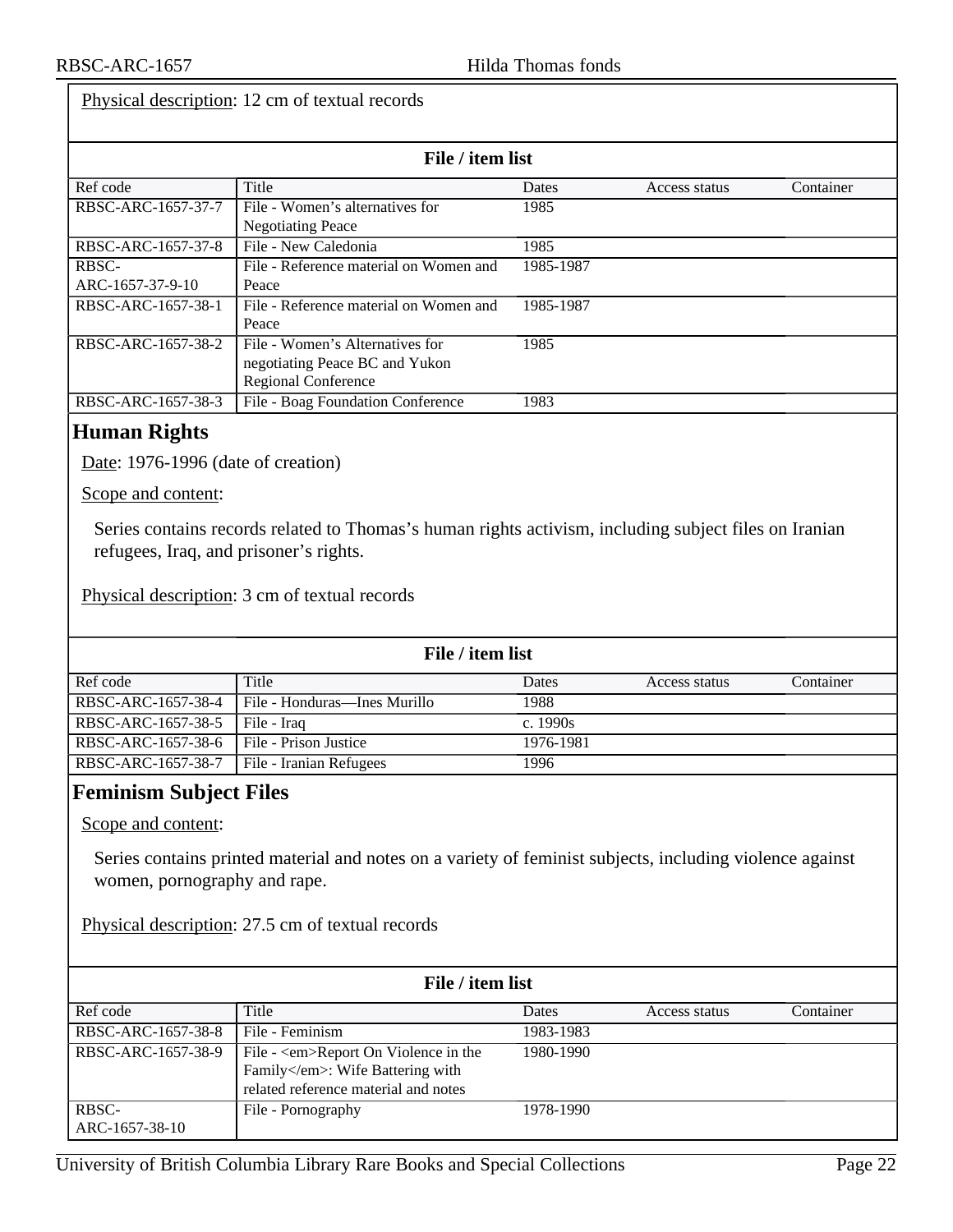#### Physical description: 12 cm of textual records

| File / item list   |                                        |           |               |           |  |
|--------------------|----------------------------------------|-----------|---------------|-----------|--|
| Ref code           | Title                                  | Dates     | Access status | Container |  |
| RBSC-ARC-1657-37-7 | File - Women's alternatives for        | 1985      |               |           |  |
|                    | <b>Negotiating Peace</b>               |           |               |           |  |
| RBSC-ARC-1657-37-8 | File - New Caledonia                   | 1985      |               |           |  |
| RBSC-              | File - Reference material on Women and | 1985-1987 |               |           |  |
| ARC-1657-37-9-10   | Peace                                  |           |               |           |  |
| RBSC-ARC-1657-38-1 | File - Reference material on Women and | 1985-1987 |               |           |  |
|                    | Peace                                  |           |               |           |  |
| RBSC-ARC-1657-38-2 | File - Women's Alternatives for        | 1985      |               |           |  |
|                    | negotiating Peace BC and Yukon         |           |               |           |  |
|                    | <b>Regional Conference</b>             |           |               |           |  |
| RBSC-ARC-1657-38-3 | File - Boag Foundation Conference      | 1983      |               |           |  |

#### <span id="page-21-0"></span>**Human Rights**

Date: 1976-1996 (date of creation)

Scope and content:

Series contains records related to Thomas's human rights activism, including subject files on Iranian refugees, Iraq, and prisoner's rights.

Physical description: 3 cm of textual records

| File / item list   |                              |            |               |           |
|--------------------|------------------------------|------------|---------------|-----------|
| Ref code           | Title                        | Dates      | Access status | Container |
| RBSC-ARC-1657-38-4 | File - Honduras—Ines Murillo | 1988       |               |           |
| RBSC-ARC-1657-38-5 | File - Iraq                  | c. $1990s$ |               |           |
| RBSC-ARC-1657-38-6 | File - Prison Justice        | 1976-1981  |               |           |
| RBSC-ARC-1657-38-7 | File - Iranian Refugees      | 1996       |               |           |

#### <span id="page-21-1"></span>**Feminism Subject Files**

Scope and content:

Series contains printed material and notes on a variety of feminist subjects, including violence against women, pornography and rape.

Physical description: 27.5 cm of textual records

| File / item list        |                                                                                                                    |              |               |           |  |
|-------------------------|--------------------------------------------------------------------------------------------------------------------|--------------|---------------|-----------|--|
| Ref code                | Title                                                                                                              | <b>Dates</b> | Access status | Container |  |
| RBSC-ARC-1657-38-8      | File - Feminism                                                                                                    | 1983-1983    |               |           |  |
| RBSC-ARC-1657-38-9      | File - <em>Report On Violence in the<br/>Family</em> : Wife Battering with<br>related reference material and notes | 1980-1990    |               |           |  |
| RBSC-<br>ARC-1657-38-10 | File - Pornography                                                                                                 | 1978-1990    |               |           |  |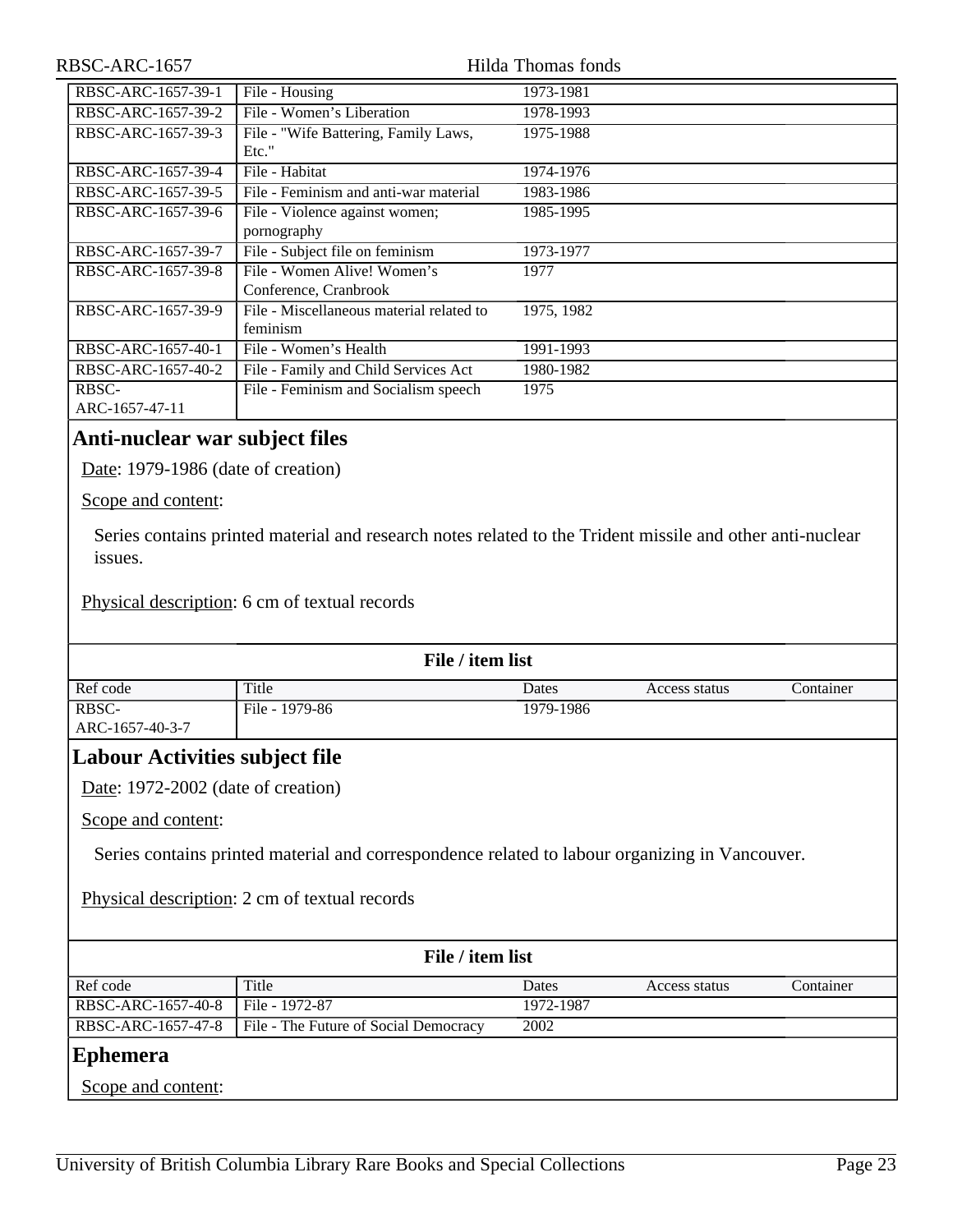| RBSC-ARC-1657           |                                                      | Hilda Thomas fonds |
|-------------------------|------------------------------------------------------|--------------------|
| RBSC-ARC-1657-39-1      | File - Housing                                       | 1973-1981          |
| RBSC-ARC-1657-39-2      | File - Women's Liberation                            | 1978-1993          |
| RBSC-ARC-1657-39-3      | File - "Wife Battering, Family Laws,<br>Etc."        | 1975-1988          |
| RBSC-ARC-1657-39-4      | File - Habitat                                       | 1974-1976          |
| RBSC-ARC-1657-39-5      | File - Feminism and anti-war material                | 1983-1986          |
| RBSC-ARC-1657-39-6      | File - Violence against women;                       | 1985-1995          |
|                         | pornography                                          |                    |
| RBSC-ARC-1657-39-7      | File - Subject file on feminism                      | 1973-1977          |
| RBSC-ARC-1657-39-8      | File - Women Alive! Women's<br>Conference, Cranbrook | 1977               |
| RBSC-ARC-1657-39-9      | File - Miscellaneous material related to<br>feminism | 1975, 1982         |
| RBSC-ARC-1657-40-1      | File - Women's Health                                | 1991-1993          |
| RBSC-ARC-1657-40-2      | File - Family and Child Services Act                 | 1980-1982          |
| RBSC-<br>ARC-1657-47-11 | File - Feminism and Socialism speech                 | 1975               |
|                         |                                                      |                    |

#### <span id="page-22-0"></span>**Anti-nuclear war subject files**

Date: 1979-1986 (date of creation)

Scope and content:

Series contains printed material and research notes related to the Trident missile and other anti-nuclear issues.

Physical description: 6 cm of textual records

| File / item list |                |           |               |           |
|------------------|----------------|-----------|---------------|-----------|
| Ref code         | Title          | Dates     | Access status | Container |
| RBSC-            | File - 1979-86 | 1979-1986 |               |           |
| ARC-1657-40-3-7  |                |           |               |           |

## <span id="page-22-1"></span>**Labour Activities subject file**

Date: 1972-2002 (date of creation)

Scope and content:

Series contains printed material and correspondence related to labour organizing in Vancouver.

Physical description: 2 cm of textual records

<span id="page-22-2"></span>

| File / item list   |                                       |           |               |           |  |
|--------------------|---------------------------------------|-----------|---------------|-----------|--|
| Ref code           | Title                                 | Dates     | Access status | Container |  |
| RBSC-ARC-1657-40-8 | File - 1972-87                        | 1972-1987 |               |           |  |
| RBSC-ARC-1657-47-8 | File - The Future of Social Democracy | 2002      |               |           |  |
| Ephemera           |                                       |           |               |           |  |
| Scope and content: |                                       |           |               |           |  |